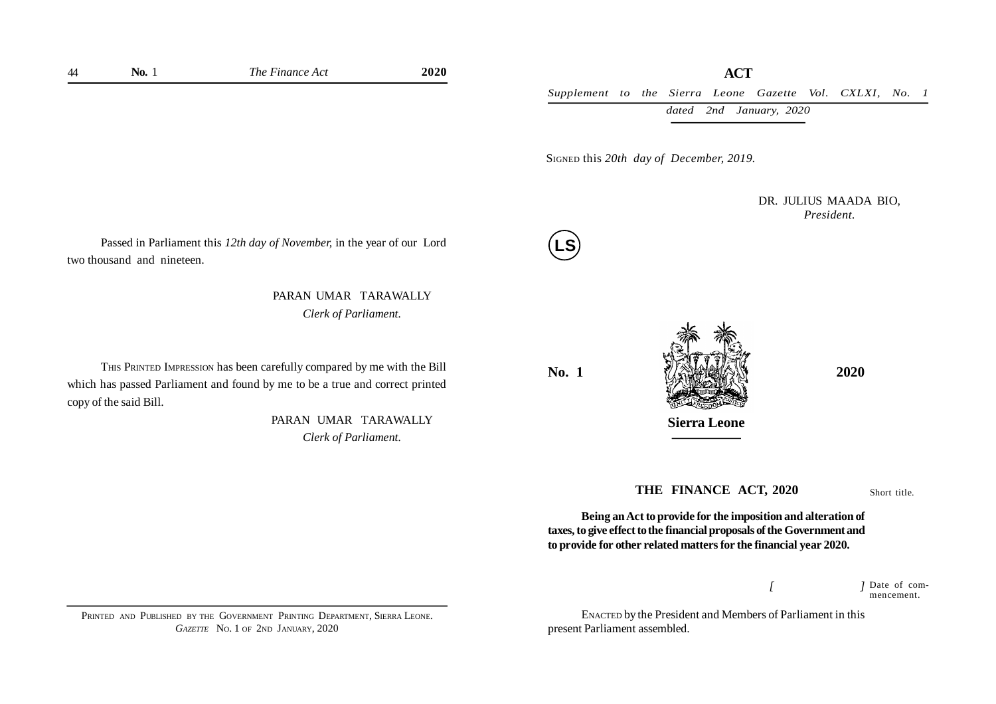*Supplement to the Sierra Leone Gazette Vol. CXLXI, No. 1 dated 2nd January, 2020*

SIGNED this *20th day of December, 2019.*

DR. JULIUS MAADA BIO, *President.*

Passed in Parliament this *12th day of November,* in the year of our Lord **LS** two thousand and nineteen.

> PARAN UMAR TARAWALLY *Clerk of Parliament.*

THIS PRINTED IMPRESSION has been carefully compared by me with the Bill which has passed Parliament and found by me to be a true and correct printed copy of the said Bill.

> PARAN UMAR TARAWALLY *Clerk of Parliament.*



**Sierra Leone**

### **THE FINANCE ACT, 2020**

Short title.

**Being an Act to provide for the imposition and alteration of taxes, to give effect to the financial proposals of the Government and to provide for other related matters for the financial year 2020.**

> *[ ]* Date of commencement.

ENACTED by the President and Members of Parliament in this present Parliament assembled.

PRINTED AND PUBLISHED BY THE GOVERNMENT PRINTING DEPARTMENT, SIERRA LEONE. *GAZETTE* NO. 1 OF 2ND JANUARY, 2020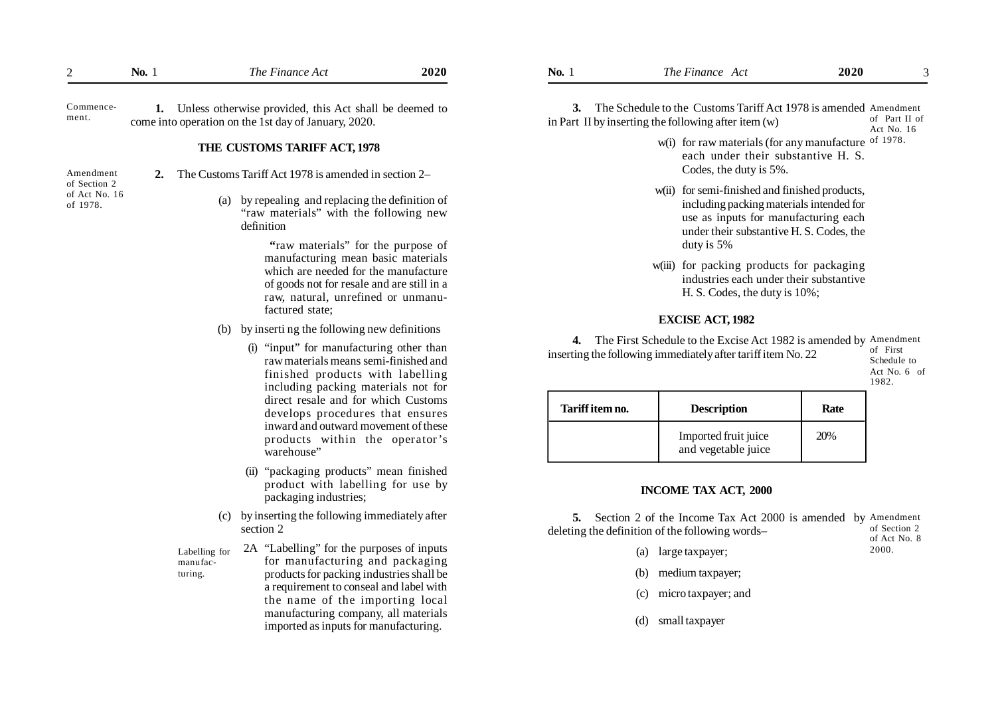| $\overline{2}$                            | <b>No.</b> 1                                                                                                                                                                                                      |                                                                            | The Finance Act                                                                                                                                                                   | 2020                                                                    | <b>No.</b> 1                                                                                                                         | The Finance Act                                                                                                                                                                              | 2020                                             |                             |
|-------------------------------------------|-------------------------------------------------------------------------------------------------------------------------------------------------------------------------------------------------------------------|----------------------------------------------------------------------------|-----------------------------------------------------------------------------------------------------------------------------------------------------------------------------------|-------------------------------------------------------------------------|--------------------------------------------------------------------------------------------------------------------------------------|----------------------------------------------------------------------------------------------------------------------------------------------------------------------------------------------|--------------------------------------------------|-----------------------------|
| Commence-<br>ment.                        |                                                                                                                                                                                                                   |                                                                            | 1. Unless otherwise provided, this Act shall be deemed to<br>come into operation on the 1st day of January, 2020.                                                                 |                                                                         |                                                                                                                                      | 3. The Schedule to the Customs Tariff Act 1978 is amended Amendment<br>in Part II by inserting the following after item $(w)$                                                                |                                                  | of Part II of<br>Act No. 16 |
| Amendment                                 | 2.                                                                                                                                                                                                                |                                                                            | THE CUSTOMS TARIFF ACT, 1978<br>The Customs Tariff Act 1978 is amended in section 2–                                                                                              |                                                                         |                                                                                                                                      | w(i) for raw materials (for any manufacture of 1978.<br>each under their substantive H. S.<br>Codes, the duty is 5%.                                                                         |                                                  |                             |
| of Section 2<br>of Act No. 16<br>of 1978. |                                                                                                                                                                                                                   | (a)                                                                        | by repealing and replacing the definition of<br>"raw materials" with the following new<br>definition<br>"raw materials" for the purpose of                                        |                                                                         |                                                                                                                                      | w(ii) for semi-finished and finished products,<br>including packing materials intended for<br>use as inputs for manufacturing each<br>under their substantive H. S. Codes, the<br>duty is 5% |                                                  |                             |
|                                           |                                                                                                                                                                                                                   |                                                                            | manufacturing mean basic materials<br>which are needed for the manufacture<br>of goods not for resale and are still in a<br>raw, natural, unrefined or unmanu-<br>factured state; |                                                                         |                                                                                                                                      | w(iii) for packing products for packaging<br>industries each under their substantive<br>H. S. Codes, the duty is 10%;                                                                        |                                                  |                             |
|                                           |                                                                                                                                                                                                                   |                                                                            |                                                                                                                                                                                   |                                                                         |                                                                                                                                      | <b>EXCISE ACT, 1982</b>                                                                                                                                                                      |                                                  |                             |
|                                           | by inserting the following new definitions<br>(b)<br>(i) "input" for manufacturing other than<br>raw materials means semi-finished and<br>finished products with labelling<br>including packing materials not for |                                                                            |                                                                                                                                                                                   |                                                                         | 4. The First Schedule to the Excise Act 1982 is amended by Amendment<br>inserting the following immediately after tariff item No. 22 |                                                                                                                                                                                              | of First<br>Schedule to<br>Act No. 6 of<br>1982. |                             |
|                                           |                                                                                                                                                                                                                   |                                                                            |                                                                                                                                                                                   | direct resale and for which Customs<br>develops procedures that ensures | Tariff item no.                                                                                                                      | <b>Description</b>                                                                                                                                                                           | Rate                                             |                             |
|                                           |                                                                                                                                                                                                                   |                                                                            | inward and outward movement of these<br>products within the operator's<br>warehouse"                                                                                              |                                                                         |                                                                                                                                      | Imported fruit juice<br>and vegetable juice                                                                                                                                                  | 20%                                              |                             |
|                                           |                                                                                                                                                                                                                   |                                                                            | (ii) "packaging products" mean finished<br>product with labelling for use by<br>packaging industries;                                                                             |                                                                         | <b>INCOME TAX ACT, 2000</b>                                                                                                          |                                                                                                                                                                                              |                                                  |                             |
|                                           |                                                                                                                                                                                                                   |                                                                            | (c) by inserting the following immediately after<br>section 2                                                                                                                     |                                                                         |                                                                                                                                      | 5. Section 2 of the Income Tax Act 2000 is amended by Amendment<br>deleting the definition of the following words-                                                                           |                                                  | of Section 2                |
|                                           |                                                                                                                                                                                                                   | Labelling for                                                              | 2A "Labelling" for the purposes of inputs                                                                                                                                         |                                                                         |                                                                                                                                      | (a) large taxpayer;                                                                                                                                                                          |                                                  | of Act No. 8<br>2000.       |
|                                           |                                                                                                                                                                                                                   | manufac-<br>turing.                                                        | for manufacturing and packaging<br>products for packing industries shall be                                                                                                       |                                                                         |                                                                                                                                      | medium taxpayer;<br>(b)                                                                                                                                                                      |                                                  |                             |
|                                           |                                                                                                                                                                                                                   | a requirement to conseal and label with<br>the name of the importing local |                                                                                                                                                                                   | manufacturing company, all materials                                    |                                                                                                                                      | micro taxpayer; and<br>(c)                                                                                                                                                                   |                                                  |                             |
|                                           |                                                                                                                                                                                                                   |                                                                            |                                                                                                                                                                                   |                                                                         |                                                                                                                                      |                                                                                                                                                                                              |                                                  |                             |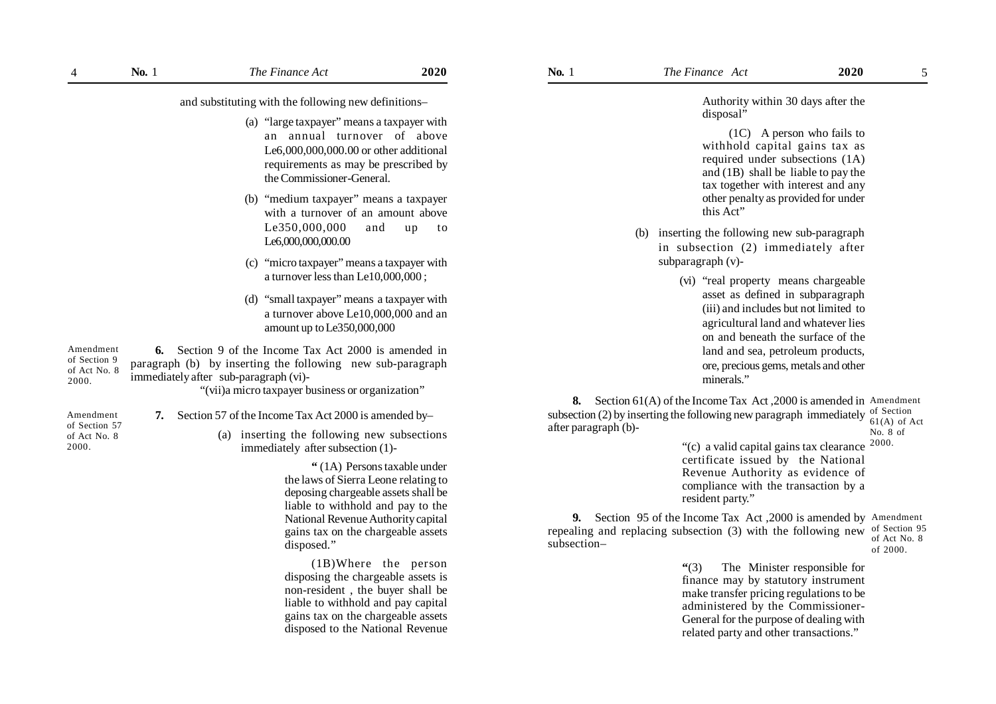and substituting with the following new definitions–

- (a) "large taxpayer" means a taxpayer with an annual turnover of above Le6,000,000,000.00 or other additional requirements as may be prescribed by the Commissioner-General.
- (b) "medium taxpayer" means a taxpayer with a turnover of an amount above Le350,000,000 and up to Le6,000,000,000.00
- (c) "micro taxpayer" means a taxpayer with a turnover less than Le10,000,000 ;
- (d) "small taxpayer" means a taxpayer with a turnover above Le10,000,000 and an amount up to Le350,000,000

**6.** Section 9 of the Income Tax Act 2000 is amended in paragraph (b) by inserting the following new sub-paragraph immediately after sub-paragraph (vi)- "(vii)a micro taxpayer business or organization" Amendment of Section 9 of Act No. 8 2000.

- Amendment of Section 57 of Act No. 8 2000.
- **7.** Section 57 of the Income Tax Act 2000 is amended by–
	- (a) inserting the following new subsections immediately after subsection (1)-

**"** (1A) Persons taxable under the laws of Sierra Leone relating to deposing chargeable assets shall be liable to withhold and pay to the National Revenue Authority capital gains tax on the chargeable assets disposed."

(1B)Where the person disposing the chargeable assets is non-resident , the buyer shall be liable to withhold and pay capital gains tax on the chargeable assets disposed to the National Revenue Authority within 30 days after the disposal"

(1C) A person who fails to withhold capital gains tax as required under subsections (1A) and (1B) shall be liable to pay the tax together with interest and any other penalty as provided for under this Act"

- (b) inserting the following new sub-paragraph in subsection (2) immediately after subparagraph (v)-
	- (vi) "real property means chargeable asset as defined in subparagraph (iii) and includes but not limited to agricultural land and whatever lies on and beneath the surface of the land and sea, petroleum products, ore, precious gems, metals and other minerals."

**8.** Section 61(A) of the Income Tax Act, 2000 is amended in Amendment subsection (2) by inserting the following new paragraph immediately  $\frac{1}{61}$  (A) of after paragraph (b)- 61(A) of Act No. 8 of

> "(c) a valid capital gains tax clearance certificate issued by the National Revenue Authority as evidence of compliance with the transaction by a resident party." 2000.

**9.** Section 95 of the Income Tax Act ,2000 is amended by Amendment repealing and replacing subsection (3) with the following new subsection– of Section 95 of Act No. 8 of 2000.

> **"**(3) The Minister responsible for finance may by statutory instrument make transfer pricing regulations to be administered by the Commissioner-General for the purpose of dealing with related party and other transactions."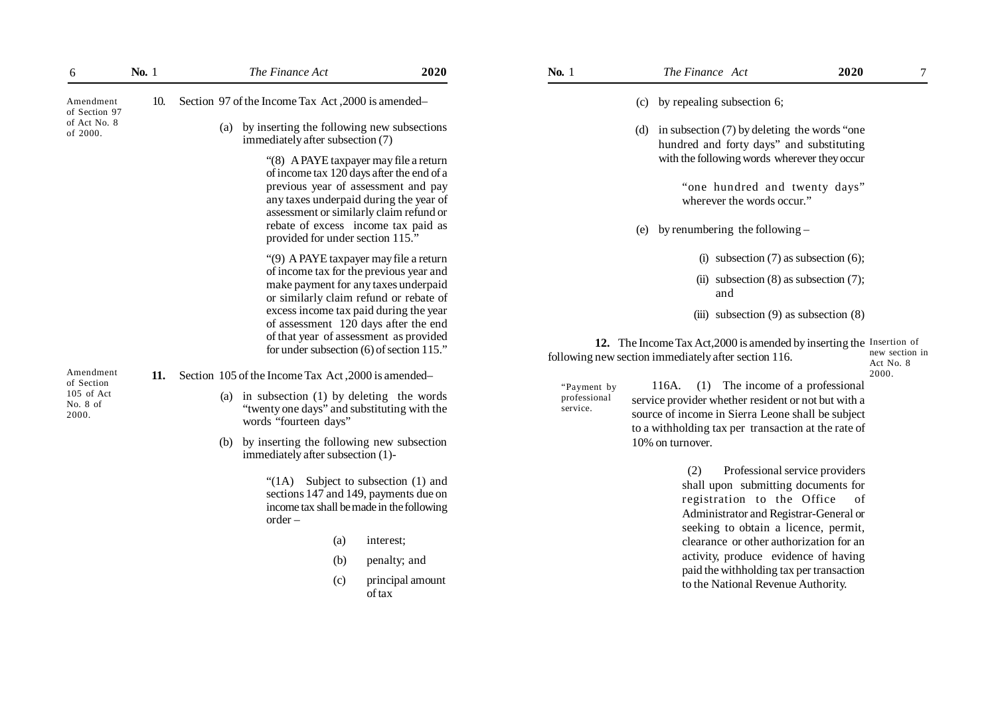| 6                                                          | No. 1 |     | The Finance Act                                                                                                                                                                                                                                                                                                                                                                                                                                                                                                                                                                                                                                                                                                                                                                      | 2020                                                    | No. 1                                   | The Finance Act                                                                                                                                                                                                                                                                                                                                                                                                                                                                                                                                                                                                                                                                                                                                                                                                                                                                          | 2020 | 7                                    |
|------------------------------------------------------------|-------|-----|--------------------------------------------------------------------------------------------------------------------------------------------------------------------------------------------------------------------------------------------------------------------------------------------------------------------------------------------------------------------------------------------------------------------------------------------------------------------------------------------------------------------------------------------------------------------------------------------------------------------------------------------------------------------------------------------------------------------------------------------------------------------------------------|---------------------------------------------------------|-----------------------------------------|------------------------------------------------------------------------------------------------------------------------------------------------------------------------------------------------------------------------------------------------------------------------------------------------------------------------------------------------------------------------------------------------------------------------------------------------------------------------------------------------------------------------------------------------------------------------------------------------------------------------------------------------------------------------------------------------------------------------------------------------------------------------------------------------------------------------------------------------------------------------------------------|------|--------------------------------------|
| Amendment<br>of Section 97                                 |       | 10. | Section 97 of the Income Tax Act, 2000 is amended-                                                                                                                                                                                                                                                                                                                                                                                                                                                                                                                                                                                                                                                                                                                                   |                                                         |                                         | (c) by repealing subsection 6;                                                                                                                                                                                                                                                                                                                                                                                                                                                                                                                                                                                                                                                                                                                                                                                                                                                           |      |                                      |
| of Act No. 8<br>of 2000.                                   |       |     | by inserting the following new subsections<br>(a)<br>immediately after subsection (7)<br>"(8) A PAYE taxpayer may file a return<br>of income tax 120 days after the end of a<br>previous year of assessment and pay<br>any taxes underpaid during the year of<br>assessment or similarly claim refund or<br>rebate of excess income tax paid as<br>provided for under section 115."                                                                                                                                                                                                                                                                                                                                                                                                  |                                                         |                                         | (d) in subsection $(7)$ by deleting the words "one<br>hundred and forty days" and substituting<br>with the following words wherever they occur<br>"one hundred and twenty days"<br>wherever the words occur."<br>(e) by renumbering the following $-$                                                                                                                                                                                                                                                                                                                                                                                                                                                                                                                                                                                                                                    |      |                                      |
| Amendment<br>of Section<br>105 of Act<br>No. 8 of<br>2000. |       | 11. | "(9) A PAYE taxpayer may file a return<br>of income tax for the previous year and<br>make payment for any taxes underpaid<br>or similarly claim refund or rebate of<br>excess income tax paid during the year<br>of assessment 120 days after the end<br>of that year of assessment as provided<br>for under subsection (6) of section 115."<br>Section 105 of the Income Tax Act, 2000 is amended<br>in subsection (1) by deleting the words<br>(a)<br>"twenty one days" and substituting with the<br>words "fourteen days"<br>by inserting the following new subsection<br>(b)<br>immediately after subsection (1)-<br>"(1A) Subject to subsection (1) and<br>sections 147 and 149, payments due on<br>income tax shall be made in the following<br>$order -$<br>(a)<br>(b)<br>(c) | interest;<br>penalty; and<br>principal amount<br>of tax | "Payment by<br>professional<br>service. | (i) subsection $(7)$ as subsection $(6)$ ;<br>(ii) subsection $(8)$ as subsection $(7)$ ;<br>and<br>(iii) subsection $(9)$ as subsection $(8)$<br>12. The Income Tax Act, 2000 is amended by inserting the Insertion of<br>following new section immediately after section 116.<br>(1) The income of a professional<br>116A.<br>service provider whether resident or not but with a<br>source of income in Sierra Leone shall be subject<br>to a withholding tax per transaction at the rate of<br>10% on turnover.<br>(2)<br>Professional service providers<br>shall upon submitting documents for<br>registration to the Office<br>Administrator and Registrar-General or<br>seeking to obtain a licence, permit,<br>clearance or other authorization for an<br>activity, produce evidence of having<br>paid the withholding tax per transaction<br>to the National Revenue Authority. | of   | new section in<br>Act No. 8<br>2000. |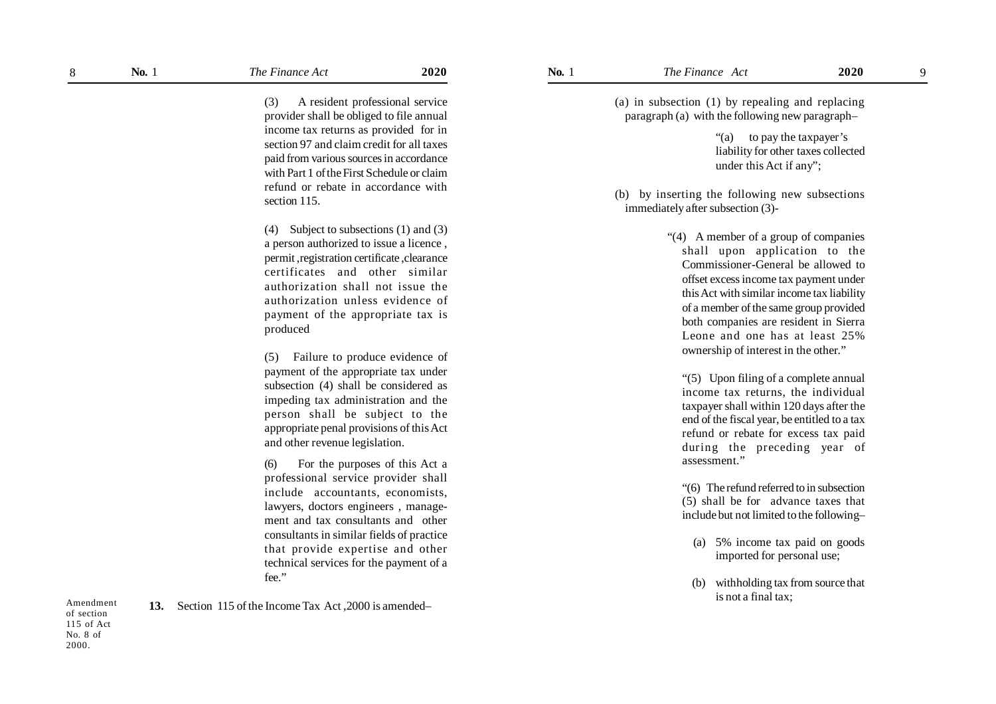Amendment of section 115 of Act No. 8 of 2000.

9

(3) A resident professional service provider shall be obliged to file annual income tax returns as provided for in section 97 and claim credit for all taxes paid from various sources in accordance with Part 1 of the First Schedule or claim refund or rebate in accordance with section 115

(4) Subject to subsections (1) and (3) a person authorized to issue a licence , permit ,registration certificate ,clearance certificates and other similar authorization shall not issue the authorization unless evidence of payment of the appropriate tax is produced

(5) Failure to produce evidence of payment of the appropriate tax under subsection (4) shall be considered as impeding tax administration and the person shall be subject to the appropriate penal provisions of this Act and other revenue legislation.

(6) For the purposes of this Act a professional service provider shall include accountants, economists, lawyers, doctors engineers , management and tax consultants and other consultants in similar fields of practice that provide expertise and other technical services for the payment of a fee."

**13.** Section 115 of the Income Tax Act ,2000 is amended–

(a) in subsection (1) by repealing and replacing paragraph (a) with the following new paragraph–

> "(a) to pay the taxpayer's liability for other taxes collected under this Act if any";

(b) by inserting the following new subsections immediately after subsection (3)-

> "(4) A member of a group of companies shall upon application to the Commissioner-General be allowed to offset excess income tax payment under this Act with similar income tax liability of a member of the same group provided both companies are resident in Sierra Leone and one has at least 25% ownership of interest in the other."

"(5) Upon filing of a complete annual income tax returns, the individual taxpayer shall within 120 days after the end of the fiscal year, be entitled to a tax refund or rebate for excess tax paid during the preceding year of assessment."

"(6) The refund referred to in subsection (5) shall be for advance taxes that include but not limited to the following–

- (a) 5% income tax paid on goods imported for personal use;
- (b) withholding tax from source that is not a final tax;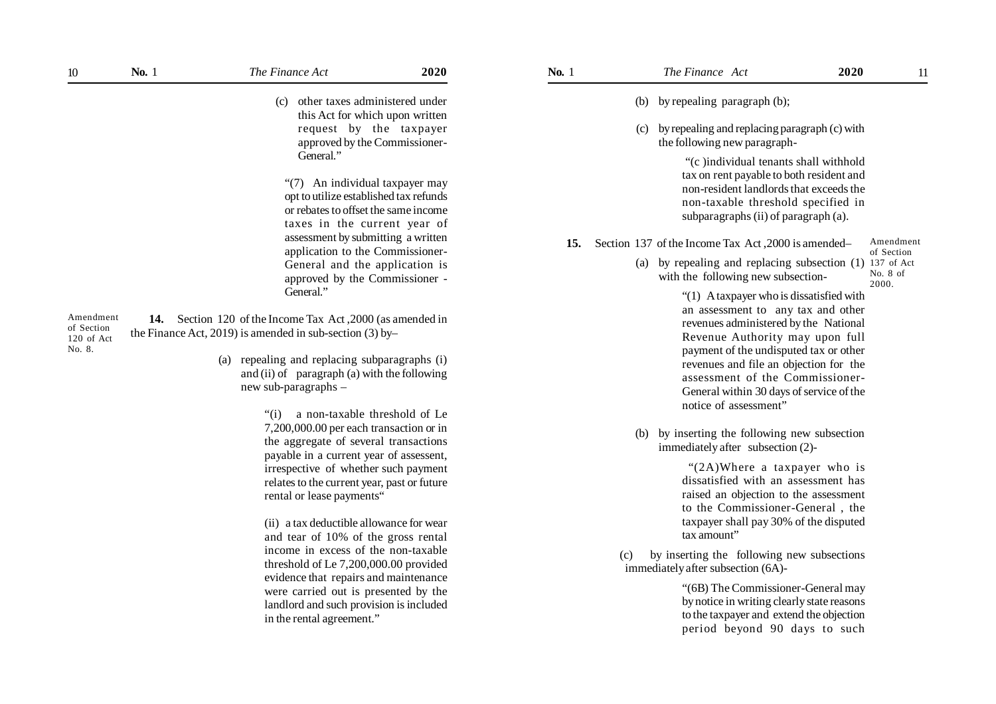| $10\,$                                          | <b>No.</b> 1 | The Finance Act                                                                                                                                                                                                                                                | 2020 | <b>No.</b> 1 |     | The Finance Act                                                                                                                                                                                                                                                                                                                                        | 2020 | 11                      |
|-------------------------------------------------|--------------|----------------------------------------------------------------------------------------------------------------------------------------------------------------------------------------------------------------------------------------------------------------|------|--------------|-----|--------------------------------------------------------------------------------------------------------------------------------------------------------------------------------------------------------------------------------------------------------------------------------------------------------------------------------------------------------|------|-------------------------|
|                                                 |              | other taxes administered under<br>(c)<br>this Act for which upon written                                                                                                                                                                                       |      |              | (b) | by repealing paragraph (b);                                                                                                                                                                                                                                                                                                                            |      |                         |
|                                                 |              | request by the taxpayer<br>approved by the Commissioner-                                                                                                                                                                                                       |      |              | (c) | by repealing and replacing paragraph (c) with<br>the following new paragraph-                                                                                                                                                                                                                                                                          |      |                         |
|                                                 |              | General."<br>"(7) An individual taxpayer may<br>opt to utilize established tax refunds<br>or rebates to offset the same income<br>taxes in the current year of<br>assessment by submitting a written                                                           |      |              |     | "(c)individual tenants shall withhold<br>tax on rent payable to both resident and<br>non-resident landlords that exceeds the<br>non-taxable threshold specified in<br>subparagraphs (ii) of paragraph (a).                                                                                                                                             |      |                         |
|                                                 |              | application to the Commissioner-                                                                                                                                                                                                                               |      | 15.          |     | Section 137 of the Income Tax Act, 2000 is amended                                                                                                                                                                                                                                                                                                     |      | Amendment<br>of Section |
|                                                 |              | General and the application is<br>approved by the Commissioner -                                                                                                                                                                                               |      |              | (a) | by repealing and replacing subsection (1) 137 of Act<br>with the following new subsection-                                                                                                                                                                                                                                                             |      | No. 8 of<br>2000.       |
| Amendment<br>of Section<br>120 of Act<br>No. 8. |              | General."<br>14. Section 120 of the Income Tax Act, 2000 (as amended in<br>the Finance Act, 2019) is amended in sub-section $(3)$ by-<br>(a) repealing and replacing subparagraphs (i)<br>and (ii) of paragraph (a) with the following<br>new sub-paragraphs - |      |              |     | "(1) A taxpayer who is dissatisfied with<br>an assessment to any tax and other<br>revenues administered by the National<br>Revenue Authority may upon full<br>payment of the undisputed tax or other<br>revenues and file an objection for the<br>assessment of the Commissioner-<br>General within 30 days of service of the<br>notice of assessment" |      |                         |
|                                                 |              | "(i) a non-taxable threshold of Le<br>7,200,000.00 per each transaction or in<br>the aggregate of several transactions<br>payable in a current year of assessent,                                                                                              |      |              | (b) | by inserting the following new subsection<br>immediately after subsection (2)-                                                                                                                                                                                                                                                                         |      |                         |
|                                                 |              | irrespective of whether such payment<br>relates to the current year, past or future<br>rental or lease payments"                                                                                                                                               |      |              |     | "(2A)Where a taxpayer who is<br>dissatisfied with an assessment has<br>raised an objection to the assessment<br>to the Commissioner-General, the                                                                                                                                                                                                       |      |                         |
|                                                 |              | (ii) a tax deductible allowance for wear                                                                                                                                                                                                                       |      |              |     | taxpayer shall pay 30% of the disputed<br>tax amount"                                                                                                                                                                                                                                                                                                  |      |                         |
|                                                 |              | and tear of 10% of the gross rental<br>income in excess of the non-taxable<br>threshold of Le 7,200,000.00 provided                                                                                                                                            |      |              | (c) | by inserting the following new subsections<br>immediately after subsection (6A)-                                                                                                                                                                                                                                                                       |      |                         |
|                                                 |              | evidence that repairs and maintenance<br>were carried out is presented by the<br>landlord and such provision is included                                                                                                                                       |      |              |     | "(6B) The Commissioner-General may<br>by notice in writing clearly state reasons                                                                                                                                                                                                                                                                       |      |                         |

in the rental agreement."

by notice in writing clearly state reasons to the taxpayer and extend the objection period beyond 90 days to such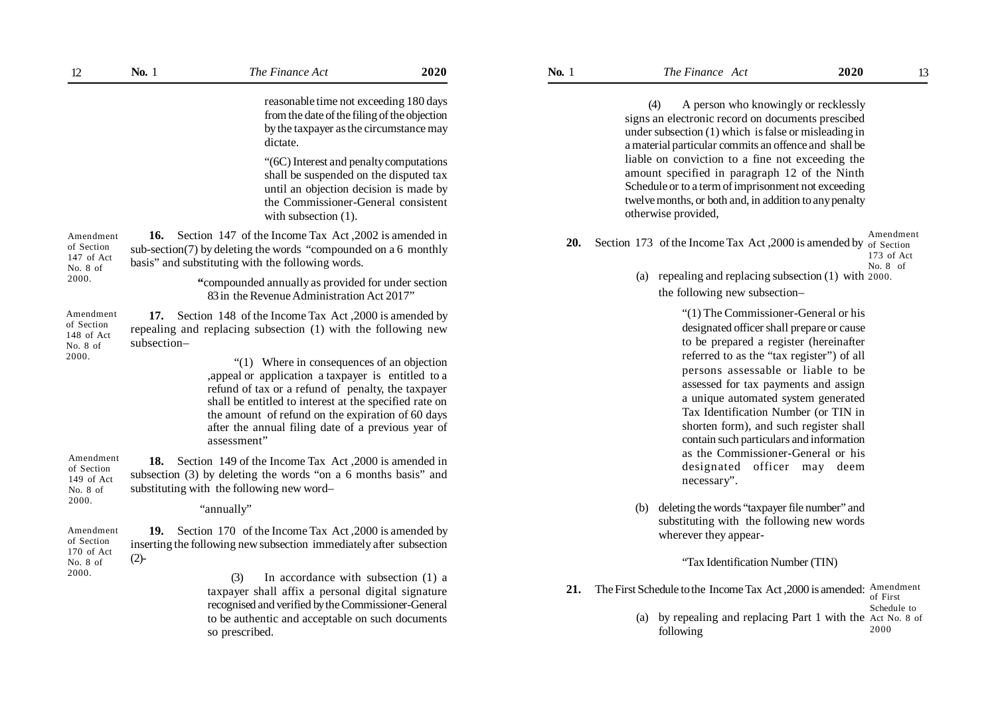|                                                            |             | from the date of the filing of the objection<br>by the taxpayer as the circumstance may<br>dictate.<br>"(6C) Interest and penalty computations<br>shall be suspended on the disputed tax<br>until an objection decision is made by<br>the Commissioner-General consistent<br>with subsection $(1)$ .                                                                                                                                                                      | reasonable time not exceeding 180 days |     | (4)<br>otherwise provided,                                                               | A person who knowingly or recklessly<br>signs an electronic record on documents prescibed<br>under subsection $(1)$ which is false or misleading in<br>a material particular commits an offence and shall be<br>liable on conviction to a fine not exceeding the<br>amount specified in paragraph 12 of the Ninth<br>Schedule or to a term of imprisonment not exceeding<br>twelve months, or both and, in addition to any penalty |                                       |
|------------------------------------------------------------|-------------|---------------------------------------------------------------------------------------------------------------------------------------------------------------------------------------------------------------------------------------------------------------------------------------------------------------------------------------------------------------------------------------------------------------------------------------------------------------------------|----------------------------------------|-----|------------------------------------------------------------------------------------------|------------------------------------------------------------------------------------------------------------------------------------------------------------------------------------------------------------------------------------------------------------------------------------------------------------------------------------------------------------------------------------------------------------------------------------|---------------------------------------|
| Amendment<br>of Section<br>147 of Act<br>No. 8 of          |             | 16. Section 147 of the Income Tax Act, 2002 is amended in<br>sub-section(7) by deleting the words "compounded on a 6 monthly<br>basis" and substituting with the following words.                                                                                                                                                                                                                                                                                         |                                        | 20. | Section 173 of the Income Tax Act, 2000 is amended by of Section                         |                                                                                                                                                                                                                                                                                                                                                                                                                                    | Amendment<br>173 of Act<br>No. $8$ of |
| 2000.                                                      |             | "compounded annually as provided for under section<br>83 in the Revenue Administration Act 2017"                                                                                                                                                                                                                                                                                                                                                                          |                                        |     | (a)                                                                                      | repealing and replacing subsection (1) with 2000.<br>the following new subsection-                                                                                                                                                                                                                                                                                                                                                 |                                       |
| Amendment<br>of Section<br>148 of Act<br>No. 8 of<br>2000. | subsection- | 17. Section 148 of the Income Tax Act, 2000 is amended by<br>repealing and replacing subsection (1) with the following new<br>"(1) Where in consequences of an objection<br>, appeal or application a taxpayer is entitled to a<br>refund of tax or a refund of penalty, the taxpayer<br>shall be entitled to interest at the specified rate on<br>the amount of refund on the expiration of 60 days<br>after the annual filing date of a previous year of<br>assessment" |                                        |     |                                                                                          | "(1) The Commissioner-General or his<br>designated officer shall prepare or cause<br>to be prepared a register (hereinafter<br>referred to as the "tax register") of all<br>persons assessable or liable to be<br>assessed for tax payments and assign<br>a unique automated system generated<br>Tax Identification Number (or TIN in<br>shorten form), and such register shall<br>contain such particulars and information        |                                       |
| Amendment<br>of Section<br>149 of Act<br>No. 8 of          |             | 18. Section 149 of the Income Tax Act, 2000 is amended in<br>subsection (3) by deleting the words "on a 6 months basis" and<br>substituting with the following new word-                                                                                                                                                                                                                                                                                                  |                                        |     |                                                                                          | as the Commissioner-General or his<br>designated officer may deem<br>necessary".                                                                                                                                                                                                                                                                                                                                                   |                                       |
| 2000.                                                      |             | "annually"                                                                                                                                                                                                                                                                                                                                                                                                                                                                |                                        |     | (b)                                                                                      | deleting the words "taxpayer file number" and<br>substituting with the following new words                                                                                                                                                                                                                                                                                                                                         |                                       |
| Amendment<br>of Section<br>170 of Act                      |             | 19. Section 170 of the Income Tax Act, 2000 is amended by<br>inserting the following new subsection immediately after subsection                                                                                                                                                                                                                                                                                                                                          |                                        |     |                                                                                          | wherever they appear-                                                                                                                                                                                                                                                                                                                                                                                                              |                                       |
| No. 8 of<br>2000.                                          | $(2)-$      |                                                                                                                                                                                                                                                                                                                                                                                                                                                                           |                                        |     |                                                                                          | "Tax Identification Number (TIN)                                                                                                                                                                                                                                                                                                                                                                                                   |                                       |
|                                                            |             | In accordance with subsection (1) a<br>(3)<br>taxpayer shall affix a personal digital signature<br>recognised and verified by the Commissioner-General<br>to be authentic and acceptable on such documents<br>so prescribed.                                                                                                                                                                                                                                              |                                        | 21. | The First Schedule to the Income Tax Act, 2000 is amended: Amendment<br>(a)<br>following | by repealing and replacing Part 1 with the Act No. 8 of                                                                                                                                                                                                                                                                                                                                                                            | of First<br>Schedule to<br>2000       |

- 21. The First Schedule to the Income Tax Act, 2000 is amended: Amendment of First Schedule to
	- (a) by repealing and replacing Part 1 with the Act No. 8 of 2000

No. 8 of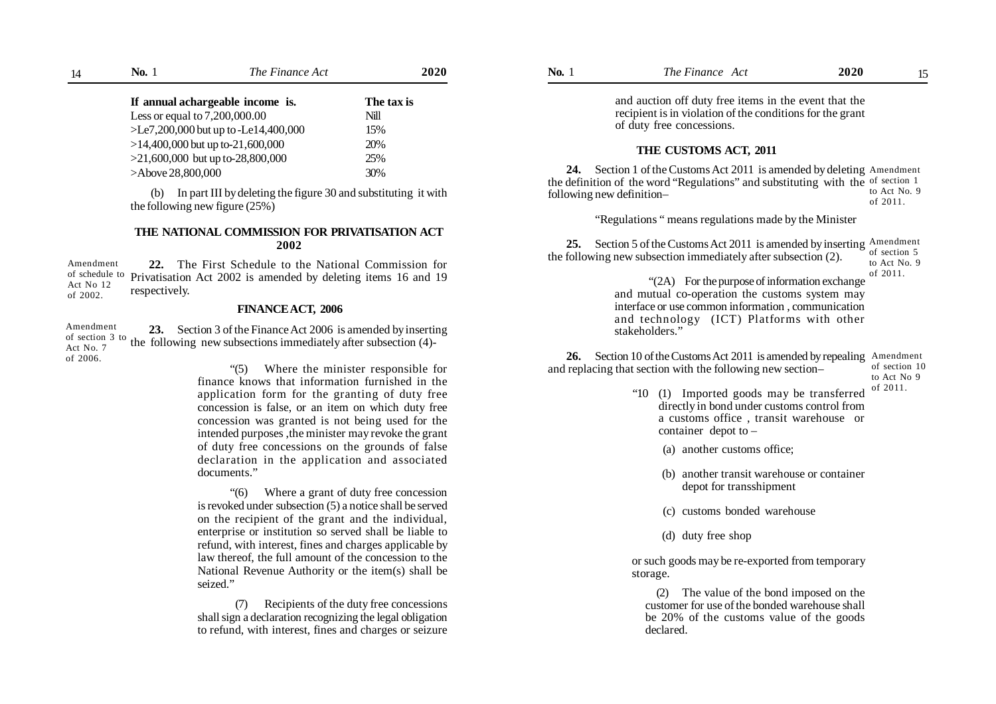| 14 | No. 1<br>The Finance Act              |      | 2020       |
|----|---------------------------------------|------|------------|
|    | If annual achargeable income is.      |      | The tax is |
|    | Less or equal to $7,200,000.00$       | Nill |            |
|    | $>E2,200,000$ but up to -Le14,400,000 | 15%  |            |
|    | $>14,400,000$ but up to-21,600,000    | 20%  |            |
|    | $>21,600,000$ but up to-28,800,000    | 25%  |            |
|    | >Above 28,800,000                     | 30%  |            |

#### **THE NATIONAL COMMISSION FOR PRIVATISATION ACT 2002**

#### **FINANCE ACT, 2006**

> "(6) Where a grant of duty free concession is revoked under subsection (5) a notice shall be served on the recipient of the grant and the individual, enterprise or institution so served shall be liable to refund, with interest, fines and charges applicable by law thereof, the full amount of the concession to the National Revenue Authority or the item(s) shall be seized."

> (7) Recipients of the duty free concessions shall sign a declaration recognizing the legal obligation to refund, with interest, fines and charges or seizure

| 14                                       | No. 1                                                                                                            | The Finance Act                                                                                                                                                                                                                                                      | 2020                                  | <b>No.</b> 1              | The Finance Act                                                                                                                                                                                                                          | 2020 | 15                                       |
|------------------------------------------|------------------------------------------------------------------------------------------------------------------|----------------------------------------------------------------------------------------------------------------------------------------------------------------------------------------------------------------------------------------------------------------------|---------------------------------------|---------------------------|------------------------------------------------------------------------------------------------------------------------------------------------------------------------------------------------------------------------------------------|------|------------------------------------------|
|                                          | If annual achargeable income is.<br>Less or equal to 7,200,000.00                                                | The tax is<br>Nill<br>$>E2,200,000$ but up to -Le14,400,000<br>15%                                                                                                                                                                                                   |                                       |                           | and auction off duty free items in the event that the<br>recipient is in violation of the conditions for the grant<br>of duty free concessions.                                                                                          |      |                                          |
|                                          | $>14,400,000$ but up to-21,600,000<br>$>21,600,000$ but up to-28,800,000<br>>Above 28,800,000                    |                                                                                                                                                                                                                                                                      | 20%<br>25%<br>30%                     |                           | THE CUSTOMS ACT, 2011<br>24. Section 1 of the Customs Act 2011 is amended by deleting Amendment                                                                                                                                          |      |                                          |
|                                          | (b)<br>the following new figure $(25%)$                                                                          | In part III by deleting the figure 30 and substituting it with                                                                                                                                                                                                       |                                       | following new definition- | the definition of the word "Regulations" and substituting with the of section 1                                                                                                                                                          |      | to Act No. 9<br>of 2011.                 |
|                                          |                                                                                                                  |                                                                                                                                                                                                                                                                      |                                       |                           | "Regulations" means regulations made by the Minister                                                                                                                                                                                     |      |                                          |
| Amendment<br>of schedule to<br>Act No 12 | respectively.                                                                                                    | THE NATIONAL COMMISSION FOR PRIVATISATION ACT<br>2002<br>22. The First Schedule to the National Commission for<br>Privatisation Act 2002 is amended by deleting items 16 and 19                                                                                      |                                       | 25.                       | Section 5 of the Customs Act 2011 is amended by inserting Amendment<br>the following new subsection immediately after subsection (2).<br>"(2A) For the purpose of information exchange<br>and mutual co-operation the customs system may |      | of section 5<br>to Act No. 9<br>of 2011. |
| of 2002.                                 |                                                                                                                  | FINANCE ACT, 2006                                                                                                                                                                                                                                                    |                                       |                           | interface or use common information, communication                                                                                                                                                                                       |      |                                          |
| ⊾mendment<br>f section 3 to              |                                                                                                                  | 23. Section 3 of the Finance Act 2006 is amended by inserting<br>the following new subsections immediately after subsection (4)-                                                                                                                                     |                                       |                           | and technology (ICT) Platforms with other<br>stakeholders."                                                                                                                                                                              |      |                                          |
| ct No. 7<br>f 2006.                      |                                                                                                                  | (5)<br>finance knows that information furnished in the                                                                                                                                                                                                               | Where the minister responsible for    | 26.                       | Section 10 of the Customs Act 2011 is amended by repealing Amendment<br>and replacing that section with the following new section-                                                                                                       |      | of section 10<br>to Act No 9             |
|                                          |                                                                                                                  | application form for the granting of duty free<br>concession is false, or an item on which duty free<br>concession was granted is not being used for the<br>intended purposes, the minister may revoke the grant<br>of duty free concessions on the grounds of false |                                       |                           | "10 (1) Imported goods may be transferred<br>directly in bond under customs control from<br>a customs office, transit warehouse or<br>container depot to $-$<br>(a) another customs office;                                              |      | of 2011.                                 |
|                                          | documents."                                                                                                      | declaration in the application and associated                                                                                                                                                                                                                        |                                       |                           | (b) another transit warehouse or container<br>depot for transshipment                                                                                                                                                                    |      |                                          |
|                                          |                                                                                                                  | $\cdot$ (6)<br>is revoked under subsection (5) a notice shall be served<br>on the recipient of the grant and the individual,                                                                                                                                         | Where a grant of duty free concession |                           | (c) customs bonded warehouse                                                                                                                                                                                                             |      |                                          |
|                                          | enterprise or institution so served shall be liable to<br>refund, with interest, fines and charges applicable by |                                                                                                                                                                                                                                                                      |                                       |                           | (d) duty free shop                                                                                                                                                                                                                       |      |                                          |
|                                          |                                                                                                                  | law thereof, the full amount of the concession to the                                                                                                                                                                                                                |                                       |                           | or such goods may be re-exported from temporary                                                                                                                                                                                          |      |                                          |

(2) The value of the bond imposed on the customer for use of the bonded warehouse shall be 20% of the customs value of the goods declared.

storage.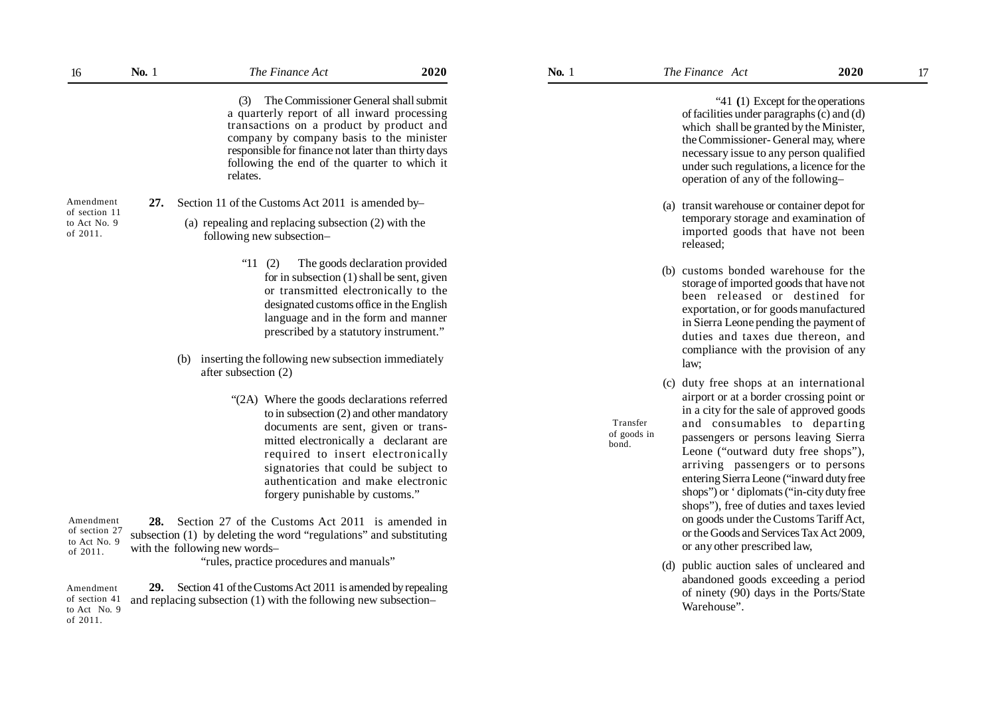| 16                                        | No. 1 | The Finance Act                                                                                                                                                                                                                                                                                                                                                                       | 2020 | No. 1 |                                  | The Finance Act                              |                                                                                                                                                                                                                                                                                                                                                                                                                                                                   | 2020<br>17 |
|-------------------------------------------|-------|---------------------------------------------------------------------------------------------------------------------------------------------------------------------------------------------------------------------------------------------------------------------------------------------------------------------------------------------------------------------------------------|------|-------|----------------------------------|----------------------------------------------|-------------------------------------------------------------------------------------------------------------------------------------------------------------------------------------------------------------------------------------------------------------------------------------------------------------------------------------------------------------------------------------------------------------------------------------------------------------------|------------|
|                                           |       | The Commissioner General shall submit<br>(3)<br>a quarterly report of all inward processing<br>transactions on a product by product and<br>company by company basis to the minister<br>responsible for finance not later than thirty days<br>following the end of the quarter to which it<br>relates.                                                                                 |      |       |                                  |                                              | "41 (1) Except for the operations<br>of facilities under paragraphs (c) and (d)<br>which shall be granted by the Minister,<br>the Commissioner-General may, where<br>necessary issue to any person qualified<br>under such regulations, a licence for the<br>operation of any of the following-                                                                                                                                                                   |            |
| Amendment<br>of section 11                | 27.   | Section 11 of the Customs Act 2011 is amended by-                                                                                                                                                                                                                                                                                                                                     |      |       |                                  | (a) transit warehouse or container depot for |                                                                                                                                                                                                                                                                                                                                                                                                                                                                   |            |
| to Act No. 9<br>of 2011.                  |       | (a) repealing and replacing subsection (2) with the<br>following new subsection-                                                                                                                                                                                                                                                                                                      |      |       |                                  | released;                                    | temporary storage and examination of<br>imported goods that have not been                                                                                                                                                                                                                                                                                                                                                                                         |            |
|                                           |       | "11<br>(2)<br>The goods declaration provided<br>for in subsection $(1)$ shall be sent, given<br>or transmitted electronically to the<br>designated customs office in the English<br>language and in the form and manner<br>prescribed by a statutory instrument."<br>inserting the following new subsection immediately<br>(b)<br>after subsection (2)                                |      |       | (b)                              | law;                                         | customs bonded warehouse for the<br>storage of imported goods that have not<br>been released or destined for<br>exportation, or for goods manufactured<br>in Sierra Leone pending the payment of<br>duties and taxes due thereon, and<br>compliance with the provision of any                                                                                                                                                                                     |            |
| Amendment                                 |       | "(2A) Where the goods declarations referred<br>to in subsection (2) and other mandatory<br>documents are sent, given or trans-<br>mitted electronically a declarant are<br>required to insert electronically<br>signatories that could be subject to<br>authentication and make electronic<br>forgery punishable by customs."<br>28. Section 27 of the Customs Act 2011 is amended in |      |       | Transfer<br>of goods in<br>bond. |                                              | (c) duty free shops at an international<br>airport or at a border crossing point or<br>in a city for the sale of approved goods<br>and consumables to departing<br>passengers or persons leaving Sierra<br>Leone ("outward duty free shops"),<br>arriving passengers or to persons<br>entering Sierra Leone ("inward duty free<br>shops") or 'diplomats ("in-city duty free<br>shops"), free of duties and taxes levied<br>on goods under the Customs Tariff Act, |            |
| of section 27<br>to Act No. 9<br>of 2011. |       | subsection (1) by deleting the word "regulations" and substituting<br>with the following new words-<br>"rules, practice procedures and manuals"                                                                                                                                                                                                                                       |      |       |                                  |                                              | or the Goods and Services Tax Act 2009,<br>or any other prescribed law,<br>(d) public auction sales of uncleared and                                                                                                                                                                                                                                                                                                                                              |            |

**29.** Section 41 of the Customs Act 2011 is amended by repealing and replacing subsection (1) with the following new subsection– Amendment of section 41 to Act No. 9 of 2011.

- (a) transit warehouse or container depot for temporary storage and examination of imported goods that have not been released;
- (b) customs bonded warehouse for the storage of imported goods that have not been released or destined for exportation, or for goods manufactured in Sierra Leone pending the payment of duties and taxes due thereon, and compliance with the provision of any law;
- (c) duty free shops at an international airport or at a border crossing point or in a city for the sale of approved goods and consumables to departing passengers or persons leaving Sierra Leone ("outward duty free shops"), arriving passengers or to persons entering Sierra Leone ("inward duty free shops") or ' diplomats ("in-city duty free shops"), free of duties and taxes levied on goods under the Customs Tariff Act, or the Goods and Services Tax Act 2009, or any other prescribed law,
- (d) public auction sales of uncleared and abandoned goods exceeding a period of ninety (90) days in the Ports/State Warehouse".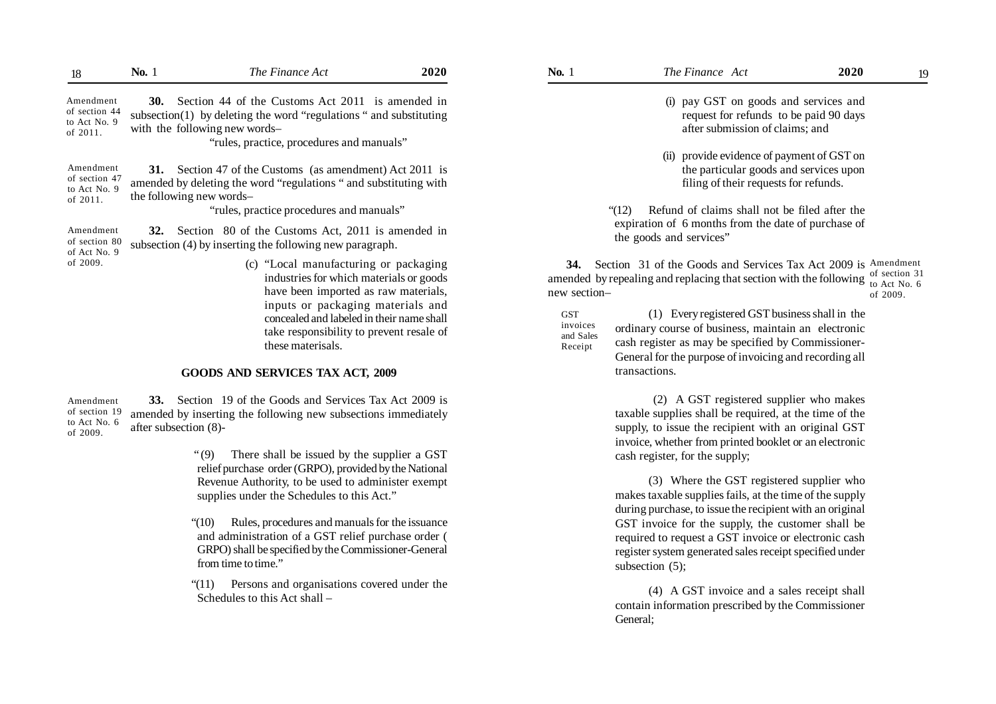| 18                                                     | <b>No.</b> 1 | The Finance Act                                                                                                                                                                                         | 2020 | <b>No.</b> 1                                   | The Finance Act                                                                                                                                                                                                       | <b>2020</b><br>19                         |
|--------------------------------------------------------|--------------|---------------------------------------------------------------------------------------------------------------------------------------------------------------------------------------------------------|------|------------------------------------------------|-----------------------------------------------------------------------------------------------------------------------------------------------------------------------------------------------------------------------|-------------------------------------------|
| Amendment<br>of section 44<br>to Act No. 9<br>of 2011. |              | 30. Section 44 of the Customs Act 2011 is amended in<br>subsection(1) by deleting the word "regulations" and substituting<br>with the following new words-<br>"rules, practice, procedures and manuals" |      |                                                | (i) pay GST on goods and services and<br>request for refunds to be paid 90 days<br>after submission of claims; and                                                                                                    |                                           |
| Amendment<br>of section 47<br>to Act No. 9<br>of 2011. |              | 31. Section 47 of the Customs (as amendment) Act 2011 is<br>amended by deleting the word "regulations" and substituting with<br>the following new words-                                                |      |                                                | (ii) provide evidence of payment of GST on<br>the particular goods and services upon<br>filing of their requests for refunds.                                                                                         |                                           |
|                                                        |              | "rules, practice procedures and manuals"                                                                                                                                                                |      |                                                | Refund of claims shall not be filed after the<br>(12)                                                                                                                                                                 |                                           |
| Amendment<br>of section 80<br>of Act No. 9             |              | 32. Section 80 of the Customs Act, 2011 is amended in<br>subsection (4) by inserting the following new paragraph.                                                                                       |      |                                                | expiration of 6 months from the date of purchase of<br>the goods and services"                                                                                                                                        |                                           |
| of 2009.                                               |              | (c) "Local manufacturing or packaging<br>industries for which materials or goods<br>have been imported as raw materials,                                                                                |      | 34.<br>new section-                            | Section 31 of the Goods and Services Tax Act 2009 is Amendment<br>amended by repealing and replacing that section with the following                                                                                  | of section 31<br>to Act No. 6<br>of 2009. |
|                                                        |              | inputs or packaging materials and<br>concealed and labeled in their name shall<br>take responsibility to prevent resale of<br>these materisals.                                                         |      | <b>GST</b><br>invoices<br>and Sales<br>Receipt | (1) Every registered GST business shall in the<br>ordinary course of business, maintain an electronic<br>cash register as may be specified by Commissioner-<br>General for the purpose of invoicing and recording all |                                           |
|                                                        |              | GOODS AND SERVICES TAX ACT, 2009                                                                                                                                                                        |      |                                                | transactions.                                                                                                                                                                                                         |                                           |
| Amendment<br>of section 19<br>to Act No. 6<br>of 2009. | <b>33.</b>   | Section 19 of the Goods and Services Tax Act 2009 is<br>amended by inserting the following new subsections immediately<br>after subsection (8)-                                                         |      |                                                | (2) A GST registered supplier who makes<br>taxable supplies shall be required, at the time of the<br>supply, to issue the recipient with an original GST<br>invoice, whether from printed booklet or an electronic    |                                           |

" (9) There shall be issued by the supplier a GST relief purchase order (GRPO), provided by the National Revenue Authority, to be used to administer exempt supplies under the Schedules to this Act."

"(10) Rules, procedures and manuals for the issuance and administration of a GST relief purchase order ( GRPO) shall be specified by the Commissioner-General from time to time."

"(11) Persons and organisations covered under the Schedules to this Act shall –

(4) A GST invoice and a sales receipt shall contain information prescribed by the Commissioner General;

(3) Where the GST registered supplier who makes taxable supplies fails, at the time of the supply during purchase, to issue the recipient with an original GST invoice for the supply, the customer shall be required to request a GST invoice or electronic cash register system generated sales receipt specified under

cash register, for the supply;

subsection (5);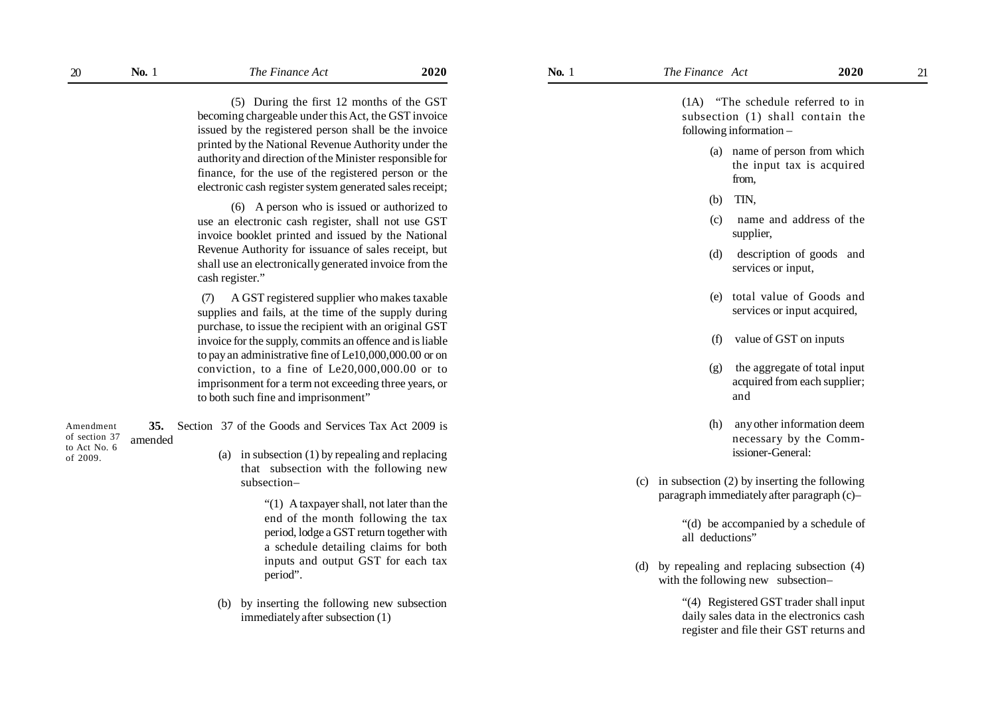(5) During the first 12 months of the GST becoming chargeable under this Act, the GST invoice issued by the registered person shall be the invoice printed by the National Revenue Authority under the authority and direction of the Minister responsible for finance, for the use of the registered person or the electronic cash register system generated sales receipt;

(6) A person who is issued or authorized to use an electronic cash register, shall not use GST invoice booklet printed and issued by the National Revenue Authority for issuance of sales receipt, but shall use an electronically generated invoice from the cash register."

(7) A GST registered supplier who makes taxable supplies and fails, at the time of the supply during purchase, to issue the recipient with an original GST invoice for the supply, commits an offence and is liable to pay an administrative fine of Le10,000,000.00 or on conviction, to a fine of Le20,000,000.00 or to imprisonment for a term not exceeding three years, or to both such fine and imprisonment"

| Amendment                     |         |  | <b>35.</b> Section 37 of the Goods and Services Tax Act 2009 is |
|-------------------------------|---------|--|-----------------------------------------------------------------|
| of section 37<br>to Act No. 6 | amended |  |                                                                 |
| of 2009.                      |         |  | (a) in subsection $(1)$ by repealing and replacing              |
|                               |         |  | that subsection with the following new                          |
|                               |         |  | $subsection-$                                                   |

"(1) A taxpayer shall, not later than the end of the month following the tax period, lodge a GST return together with a schedule detailing claims for both inputs and output GST for each tax period".

(b) by inserting the following new subsection immediately after subsection (1)

(1A) "The schedule referred to in subsection (1) shall contain the following information –

- (a) name of person from which the input tax is acquired from,
- (b) TIN,
- (c) name and address of the supplier,
- (d) description of goods and services or input,
- (e) total value of Goods and services or input acquired,
- (f) value of GST on inputs
- (g) the aggregate of total input acquired from each supplier; and
- (h) any other information deem necessary by the Commissioner-General:
- (c) in subsection (2) by inserting the following paragraph immediately after paragraph (c)–

"(d) be accompanied by a schedule of all deductions"

(d) by repealing and replacing subsection (4) with the following new subsection–

> "(4) Registered GST trader shall input daily sales data in the electronics cash register and file their GST returns and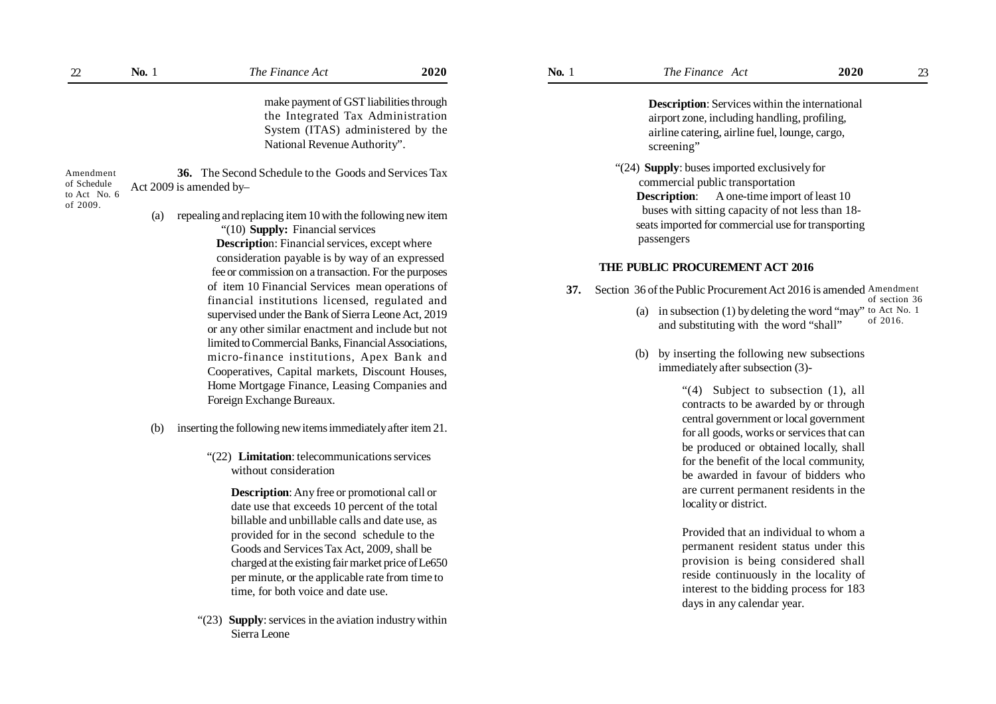| 22                                                   | <b>No.</b> 1                                                           | The Finance Act                                                                                                                                                                                                                                                                                                            | 2020 | <b>No.</b> 1                                                                                               | The Finance Act                                                                                                                                                                                                                                               | 2020          | 23 |
|------------------------------------------------------|------------------------------------------------------------------------|----------------------------------------------------------------------------------------------------------------------------------------------------------------------------------------------------------------------------------------------------------------------------------------------------------------------------|------|------------------------------------------------------------------------------------------------------------|---------------------------------------------------------------------------------------------------------------------------------------------------------------------------------------------------------------------------------------------------------------|---------------|----|
|                                                      |                                                                        | make payment of GST liabilities through<br>the Integrated Tax Administration<br>System (ITAS) administered by the<br>National Revenue Authority".                                                                                                                                                                          |      |                                                                                                            | <b>Description:</b> Services within the international<br>airport zone, including handling, profiling,<br>airline catering, airline fuel, lounge, cargo,<br>screening"                                                                                         |               |    |
| Amendment<br>of Schedule<br>to Act No. 6<br>of 2009. | Act 2009 is amended by-<br>(a)                                         | <b>36.</b> The Second Schedule to the Goods and Services Tax<br>repealing and replacing item 10 with the following new item<br>"(10) Supply: Financial services<br><b>Description:</b> Financial services, except where                                                                                                    |      |                                                                                                            | "(24) Supply: buses imported exclusively for<br>commercial public transportation<br><b>Description:</b> A one-time import of least 10<br>buses with sitting capacity of not less than 18-<br>seats imported for commercial use for transporting<br>passengers |               |    |
|                                                      |                                                                        | consideration payable is by way of an expressed<br>fee or commission on a transaction. For the purposes<br>of item 10 Financial Services mean operations of<br>financial institutions licensed, regulated and<br>supervised under the Bank of Sierra Leone Act, 2019<br>or any other similar enactment and include but not |      | 37.                                                                                                        | THE PUBLIC PROCUREMENT ACT 2016<br>Section 36 of the Public Procurement Act 2016 is amended Amendment                                                                                                                                                         |               |    |
|                                                      |                                                                        |                                                                                                                                                                                                                                                                                                                            |      | in subsection (1) by deleting the word "may" to Act No. 1<br>(a)<br>and substituting with the word "shall" | of 2016.                                                                                                                                                                                                                                                      | of section 36 |    |
|                                                      |                                                                        | limited to Commercial Banks, Financial Associations,<br>micro-finance institutions, Apex Bank and<br>Cooperatives, Capital markets, Discount Houses,                                                                                                                                                                       |      |                                                                                                            | by inserting the following new subsections<br>(b)<br>immediately after subsection (3)-                                                                                                                                                                        |               |    |
|                                                      |                                                                        | Home Mortgage Finance, Leasing Companies and<br>Foreign Exchange Bureaux.                                                                                                                                                                                                                                                  |      |                                                                                                            | " $(4)$ Subject to subsection $(1)$ , all<br>contracts to be awarded by or through                                                                                                                                                                            |               |    |
|                                                      | (b)                                                                    | inserting the following new items immediately after item 21.                                                                                                                                                                                                                                                               |      |                                                                                                            | central government or local government<br>for all goods, works or services that can                                                                                                                                                                           |               |    |
|                                                      | "(22) Limitation: telecommunications services<br>without consideration |                                                                                                                                                                                                                                                                                                                            |      |                                                                                                            | be produced or obtained locally, shall<br>for the benefit of the local community,<br>be awarded in favour of bidders who                                                                                                                                      |               |    |
|                                                      |                                                                        | Decembrian: Any free or promotional call or                                                                                                                                                                                                                                                                                |      |                                                                                                            | are current permanent residents in the                                                                                                                                                                                                                        |               |    |

**Description**: Any free or promotional call or date use that exceeds 10 percent of the total billable and unbillable calls and date use, as provided for in the second schedule to the Goods and Services Tax Act, 2009, shall be charged at the existing fair market price of Le650 per minute, or the applicable rate from time to time, for both voice and date use.

"(23) **Supply**: services in the aviation industry within Sierra Leone

#### **THE PUBLIC PROCUREMENT ACT 2016**

- **37.** Section 36 of the Public Procurement Act 2016 is amended Amendment (a) in subsection (1) by deleting the word "may" to Act No. 1 of section 36
	- and substituting with the word "shall" of 2016.
	- (b) by inserting the following new subsections immediately after subsection (3)-

"(4) Subject to subsection (1), all contracts to be awarded by or through central government or local government for all goods, works or services that can be produced or obtained locally, shall for the benefit of the local community, be awarded in favour of bidders who are current permanent residents in the locality or district.

Provided that an individual to whom a permanent resident status under this provision is being considered shall reside continuously in the locality of interest to the bidding process for 183 days in any calendar year.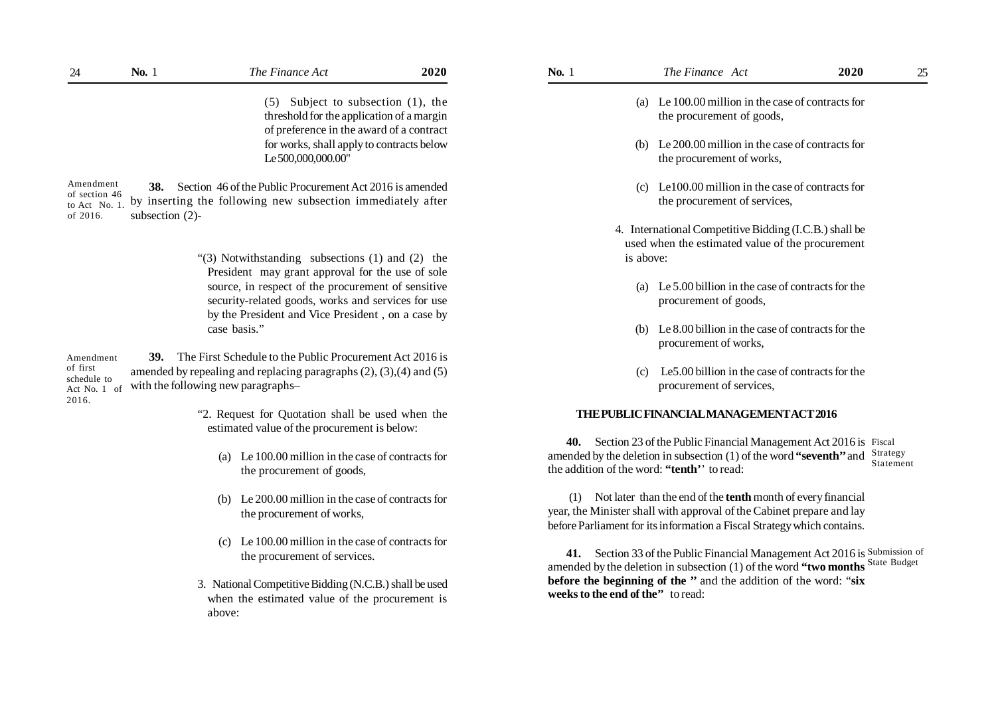(5) Subject to subsection (1), the threshold for the application of a margin of preference in the award of a contract for works, shall apply to contracts below Le 500,000,000.00"

**38.** Section 46 of the Public Procurement Act 2016 is amended by inserting the following new subsection immediately after subsection (2)- Amendment of section 46 to Act No. 1. of 2016.

> "(3) Notwithstanding subsections (1) and (2) the President may grant approval for the use of sole source, in respect of the procurement of sensitive security-related goods, works and services for use by the President and Vice President , on a case by case basis."

**39.** The First Schedule to the Public Procurement Act 2016 is amended by repealing and replacing paragraphs (2), (3),(4) and (5) with the following new paragraphs– Amendment of first schedule to Act No. 1 of 2016.

> "2. Request for Quotation shall be used when the estimated value of the procurement is below:

- (a) Le 100.00 million in the case of contracts for the procurement of goods,
- (b) Le 200.00 million in the case of contracts for the procurement of works,
- (c) Le 100.00 million in the case of contracts for the procurement of services.
- 3. National Competitive Bidding (N.C.B.) shall be used when the estimated value of the procurement is above:
- (a) Le 100.00 million in the case of contracts for the procurement of goods,
- (b) Le 200.00 million in the case of contracts for the procurement of works,
- (c) Le100.00 million in the case of contracts for the procurement of services,
- 4. International Competitive Bidding (I.C.B.) shall be used when the estimated value of the procurement is above:
	- (a) Le 5.00 billion in the case of contracts for the procurement of goods,
	- (b) Le 8.00 billion in the case of contracts for the procurement of works,
	- (c) Le5.00 billion in the case of contracts for the procurement of services,

#### **THE PUBLIC FINANCIAL MANAGEMENT ACT 2016**

**40.** Section 23 of the Public Financial Management Act 2016 is Fiscal amended by the deletion in subsection (1) of the word **"seventh''** and Strategy the addition of the word: **"tenth'**' to read: Statement

(1) Not later than the end of the **tenth** month of every financial year, the Minister shall with approval of the Cabinet prepare and lay before Parliament for its information a Fiscal Strategy which contains.

**41.** Section 33 of the Public Financial Management Act 2016 is Submission of amended by the deletion in subsection (1) of the word **"two months** State Budget**before the beginning of the ''** and the addition of the word: "**six weeks to the end of the''** to read: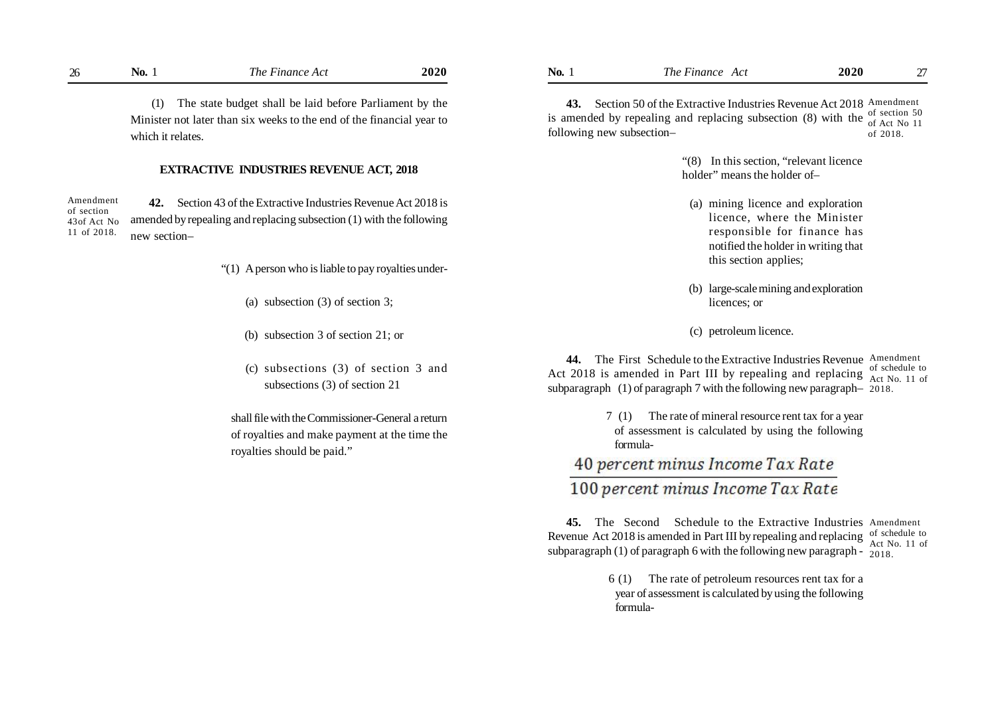(1) The state budget shall be laid before Parliament by the Minister not later than six weeks to the end of the financial year to which it relates.

#### **EXTRACTIVE INDUSTRIES REVENUE ACT, 2018**

**42.** Section 43 of the Extractive Industries Revenue Act 2018 is amended by repealing and replacing subsection (1) with the following new section– Amendment of section 43of Act No 11 of 2018.

- "(1) A person who is liable to pay royalties under-
	- (a) subsection (3) of section 3;
	- (b) subsection 3 of section 21; or
	- (c) subsections (3) of section 3 and subsections (3) of section 21

shall file with the Commissioner-General a return of royalties and make payment at the time the royalties should be paid."

43. Section 50 of the Extractive Industries Revenue Act 2018 Amendment is amended by repealing and replacing subsection (8) with the  $\frac{\text{of section 50}}{\text{of } \text{Act } \text{No } 11}$ following new subsection– of Act No 11 of 2018.

> "(8) In this section, "relevant licence holder" means the holder of-

- (a) mining licence and exploration licence, where the Minister responsible for finance has notified the holder in writing that this section applies;
- (b) large-scale mining and exploration licences; or
- (c) petroleum licence.

44. The First Schedule to the Extractive Industries Revenue Amendment Act 2018 is amended in Part III by repealing and replacing  $\frac{\text{of schedule to}}{\text{Act No}}$ subparagraph (1) of paragraph 7 with the following new paragraph– 2018. Act No. 11 of

> 7 (1) The rate of mineral resource rent tax for a year of assessment is calculated by using the following formula-

# 40 percent minus Income Tax Rate 100 percent minus Income Tax Rate

**45.** The Second Schedule to the Extractive Industries Amendment Revenue Act 2018 is amended in Part III by repealing and replacing of schedule to subparagraph (1) of paragraph 6 with the following new paragraph -  $\frac{1}{2018}$ . Act No. 11 of

> 6 (1) The rate of petroleum resources rent tax for a year of assessment is calculated by using the following formula-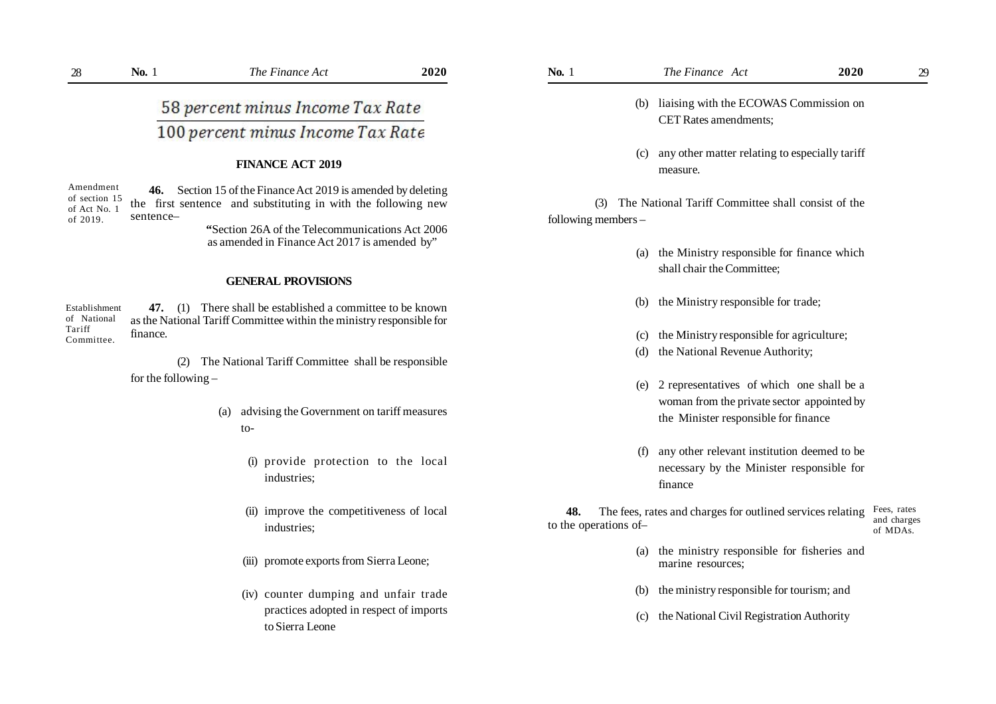58 percent minus Income Tax Rate 100 percent minus Income Tax Rate

### **FINANCE ACT 2019**

**46.** Section 15 of the Finance Act 2019 is amended by deleting the first sentence and substituting in with the following new sentence– Amendment of section 15 of Act No. 1 of 2019.

 **"**Section 26A of the Telecommunications Act 2006 as amended in Finance Act 2017 is amended by"

#### **GENERAL PROVISIONS**

**47.** (1) There shall be established a committee to be known as the National Tariff Committee within the ministry responsible for finance. Establishment of National Tariff Committee.

> (2) The National Tariff Committee shall be responsible for the following –

- (a) advising the Government on tariff measures to-
	- (i) provide protection to the local industries;
	- (ii) improve the competitiveness of local industries;
	- (iii) promote exports from Sierra Leone;
	- (iv) counter dumping and unfair trade practices adopted in respect of imports to Sierra Leone
- (b) liaising with the ECOWAS Commission on CET Rates amendments;
- (c) any other matter relating to especially tariff measure.

(3) The National Tariff Committee shall consist of the following members –

- (a) the Ministry responsible for finance which shall chair the Committee;
- (b) the Ministry responsible for trade;
- (c) the Ministry responsible for agriculture;
- (d) the National Revenue Authority;
- (e) 2 representatives of which one shall be a woman from the private sector appointed by the Minister responsible for finance
- (f) any other relevant institution deemed to be necessary by the Minister responsible for finance

 **48.** The fees, rates and charges for outlined services relating to the operations of– Fees, rates and charges of MDAs.

- (a) the ministry responsible for fisheries and marine resources;
- (b) the ministry responsible for tourism; and
- (c) the National Civil Registration Authority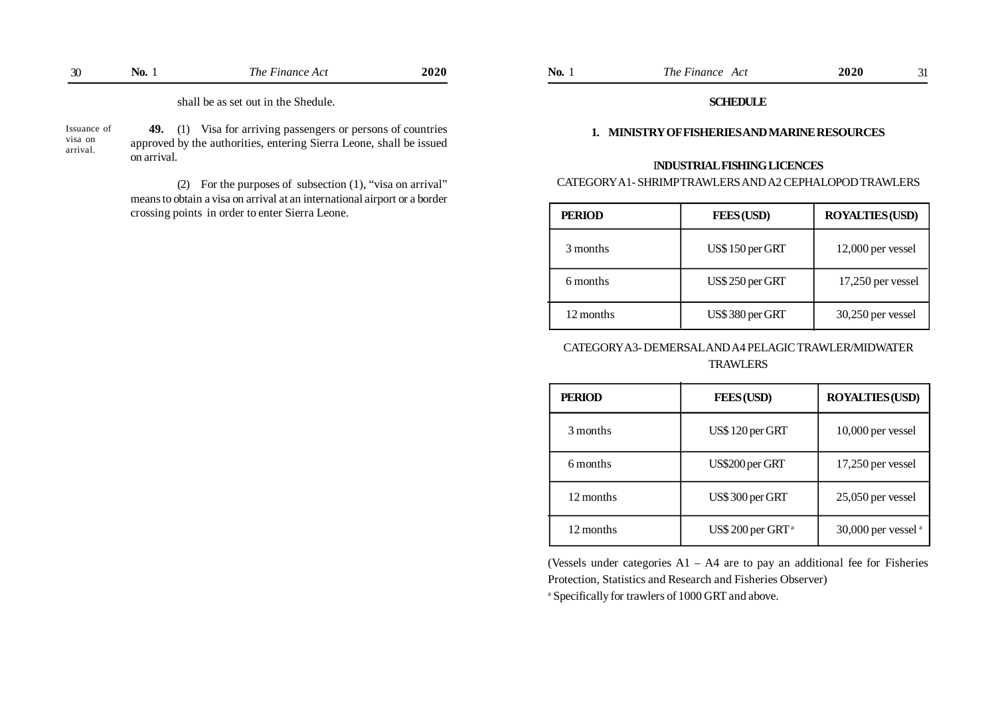| $\sim$<br>$\sim$ | NO. | ---<br>∖ne<br>- пап. | N 4 | NU | $\overline{ }$<br>! ne<br>AС<br><i>что</i> | $\mathbf{a}$<br>ZUZ |  |
|------------------|-----|----------------------|-----|----|--------------------------------------------|---------------------|--|
|                  |     |                      |     |    |                                            |                     |  |

shall be as set out in the Shedule.

Issuance of visa on arrival.

**49.** (1) Visa for arriving passengers or persons of countries approved by the authorities, entering Sierra Leone, shall be issued on arrival.

(2) For the purposes of subsection (1), "visa on arrival" means to obtain a visa on arrival at an international airport or a border crossing points in order to enter Sierra Leone.

#### **SCHEDULE**

#### **1. MINISTRY OF FISHERIES AND MARINE RESOURCES**

## I**NDUSTRIAL FISHING LICENCES**

# CATEGORY A1- SHRIMP TRAWLERS AND A2 CEPHALOPOD TRAWLERS

| <b>PERIOD</b> | <b>FEES (USD)</b> | <b>ROYALTIES (USD)</b> |  |  |
|---------------|-------------------|------------------------|--|--|
| 3 months      | US\$150 per GRT   | $12,000$ per vessel    |  |  |
| 6 months      | US\$ 250 per GRT  | $17,250$ per vessel    |  |  |
| 12 months     | US\$380 per GRT   | $30,250$ per vessel    |  |  |

# CATEGORY A3- DEMERSAL AND A4 PELAGIC TRAWLER/MIDWATER **TRAWLERS**

| <b>PERIOD</b> | <b>FEES (USD)</b>             | <b>ROYALTIES (USD)</b> |
|---------------|-------------------------------|------------------------|
| 3 months      | US\$120 per GRT               | 10,000 per vessel      |
| 6 months      | US\$200 per GRT               | $17,250$ per vessel    |
| 12 months     | US\$300 per GRT               | $25,050$ per vessel    |
| 12 months     | US\$ 200 per GRT <sup>a</sup> | 30,000 per vessel $a$  |

(Vessels under categories A1 – A4 are to pay an additional fee for Fisheries Protection, Statistics and Research and Fisheries Observer)

a Specifically for trawlers of 1000 GRT and above.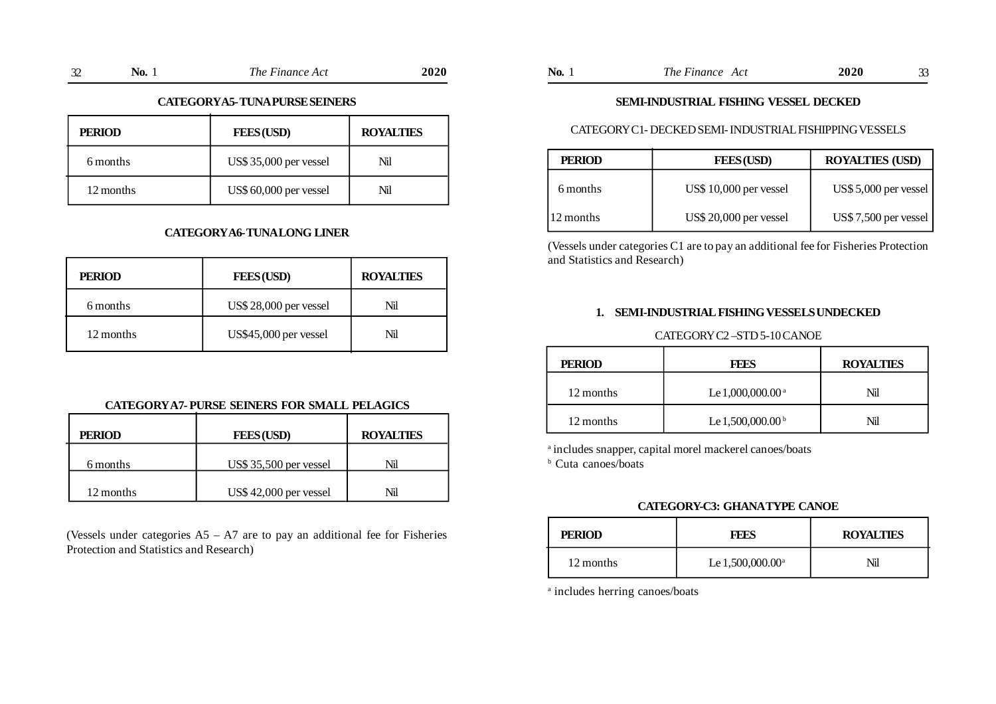| $\sim$<br>◡ | 'NO. | l he<br><i>uun</i><br>. | 2020 | NO. | $l'$ ha<br><b>TTA</b><br>$\sim$ $\sim$<br>www.<br>1 U | 90<br>$\sim$<br>ZUZU |  |
|-------------|------|-------------------------|------|-----|-------------------------------------------------------|----------------------|--|
|             |      |                         |      |     |                                                       |                      |  |

#### **CATEGORY A5- TUNA PURSE SEINERS**

| <b>PERIOD</b> | <b>FEES (USD)</b>      | <b>ROYALTIES</b> |
|---------------|------------------------|------------------|
| 6 months      | US\$ 35,000 per vessel | Nil              |
| 12 months     | US\$ 60,000 per vessel | Nil              |

# **CATEGORY A6- TUNA LONG LINER**

| <b>PERIOD</b> | <b>FEES(USD)</b>       | <b>ROYALTIES</b> |
|---------------|------------------------|------------------|
| 6 months      | US\$ 28,000 per vessel | Nil              |
| 12 months     | US\$45,000 per vessel  | Nil              |

# **CATEGORY A7- PURSE SEINERS FOR SMALL PELAGICS**

| <b>PERIOD</b> | <b>FEES (USD)</b>      | <b>ROYALTIES</b> |
|---------------|------------------------|------------------|
| 6 months      | US\$ 35,500 per vessel | Ńі               |
| 12 months     | US\$42,000 per vessel  | Nil              |

(Vessels under categories  $AS - A7$  are to pay an additional fee for Fisheries Protection and Statistics and Research)

|  | No. | The Finance Act | 2020 |
|--|-----|-----------------|------|
|--|-----|-----------------|------|

# **SEMI-INDUSTRIAL FISHING VESSEL DECKED**

### CATEGORY C1- DECKED SEMI- INDUSTRIAL FISHIPPING VESSELS

| <b>PERIOD</b> | <b>FEES (USD)</b>      | <b>ROYALTIES (USD)</b>  |
|---------------|------------------------|-------------------------|
| 6 months      | US\$ 10,000 per vessel | US\$ $5,000$ per vessel |
| 12 months     | US\$ 20,000 per vessel | US\$ 7,500 per vessel   |

(Vessels under categories C1 are to pay an additional fee for Fisheries Protection and Statistics and Research)

# **1. SEMI-INDUSTRIAL FISHING VESSELS UNDECKED**

# CATEGORY C2 –STD 5-10 CANOE

| <b>PERIOD</b> | <b>FEES</b>                    | <b>ROYALTIES</b> |
|---------------|--------------------------------|------------------|
| 12 months     | Le 1,000,000.00 <sup>a</sup>   | Nil              |
| 12 months     | Le $1,500,000.00^{\mathrm{b}}$ | NïL              |

a includes snapper, capital morel mackerel canoes/boats

b Cuta canoes/boats

# **CATEGORY-C3: GHANA TYPE CANOE**

| <b>PERIOD</b> | FEES                      | <b>ROYALTIES</b> |
|---------------|---------------------------|------------------|
| 12 months     | Le $1,500,000.00^{\circ}$ | Nil              |

a includes herring canoes/boats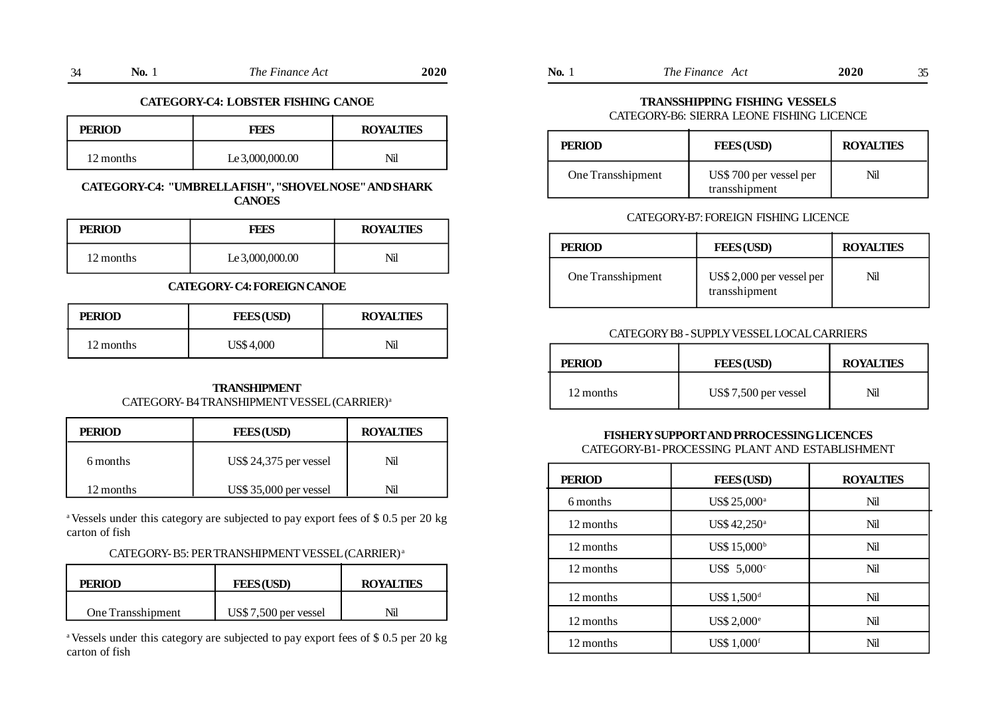| 34<br>◡ | N0. | The Finance Act | 2020 |
|---------|-----|-----------------|------|
|---------|-----|-----------------|------|

#### **CATEGORY-C4: LOBSTER FISHING CANOE**

| <b>PERIOD</b> | FEES            | <b>ROYALTIES</b> |
|---------------|-----------------|------------------|
| 12 months     | Le 3,000,000.00 | Nil              |

# **CATEGORY-C4: "UMBRELLA FISH", "SHOVEL NOSE" AND SHARK CANOES**

| <b>PERIOD</b> | FEES            | <b>ROYALTIES</b> |
|---------------|-----------------|------------------|
| 12 months     | Le 3,000,000.00 | Nil              |

# **CATEGORY- C4: FOREIGN CANOE**

| <b>PERIOD</b> | <b>FEES(USD)</b> | <b>ROYALTIES</b> |
|---------------|------------------|------------------|
| 12 months     | US\$4,000        | Nil              |

### **TRANSHIPMENT** CATEGORY- B4 TRANSHIPMENT VESSEL (CARRIER)<sup>a</sup>

| <b>PERIOD</b> | <b>FEES (USD)</b>      | <b>ROYALTIES</b> |
|---------------|------------------------|------------------|
| 6 months      | US\$ 24,375 per vessel | Nil              |
| 12 months     | US\$ 35,000 per vessel | Nil              |

<sup>a</sup> Vessels under this category are subjected to pay export fees of \$ 0.5 per 20 kg carton of fish

# CATEGORY- B5: PER TRANSHIPMENT VESSEL (CARRIER) <sup>a</sup>

| <b>PERIOD</b>     | <b>FEES (USD)</b>    | <b>ROYALTIES</b> |
|-------------------|----------------------|------------------|
| One Transshipment | US\$7,500 per vessel | Nil              |

<sup>a</sup> Vessels under this category are subjected to pay export fees of \$ 0.5 per 20 kg carton of fish

| . . | NO. | $F$ <i>inance</i> $\wedge$<br>l he<br>AC | 2020 | 'NO. | Finance<br>1 he<br>AC <sup>t</sup> | <b>2020</b> | $\sim$ |
|-----|-----|------------------------------------------|------|------|------------------------------------|-------------|--------|
|-----|-----|------------------------------------------|------|------|------------------------------------|-------------|--------|

### **TRANSSHIPPING FISHING VESSELS** CATEGORY-B6: SIERRA LEONE FISHING LICENCE

| <b>PERIOD</b>     | <b>FEES (USD)</b>                        | <b>ROYALTIES</b> |
|-------------------|------------------------------------------|------------------|
| One Transshipment | US\$ 700 per vessel per<br>transshipment | Nil              |

#### CATEGORY-B7: FOREIGN FISHING LICENCE

| <b>PERIOD</b>     | <b>FEES (USD)</b>                          | <b>ROYALTIES</b> |
|-------------------|--------------------------------------------|------------------|
| One Transshipment | US\$ 2,000 per vessel per<br>transshipment | Nil              |

#### CATEGORY B8 - SUPPLY VESSEL LOCAL CARRIERS

| <b>PERIOD</b> | <b>FEES</b> (USD)    | <b>ROYALTIES</b> |
|---------------|----------------------|------------------|
| 12 months     | US\$7,500 per vessel | Nil              |

# **FISHERY SUPPORT AND PRROCESSING LICENCES**

CATEGORY-B1- PROCESSING PLANT AND ESTABLISHMENT

| <b>PERIOD</b> | <b>FEES (USD)</b>        | <b>ROYALTIES</b> |
|---------------|--------------------------|------------------|
| 6 months      | US\$ 25,000 <sup>a</sup> | Nil              |
| 12 months     | US\$ 42,250 <sup>a</sup> | Nil              |
| 12 months     | US\$ 15,000 <sup>b</sup> | Nil              |
| 12 months     | US\$ 5,000 $\text{°}$    | Nil              |
| 12 months     | US\$ 1,500 <sup>d</sup>  | Nil              |
| 12 months     | US\$ 2,000 <sup>e</sup>  | Nil              |
| 12 months     | <b>US\$ 1,000f</b>       | Nil              |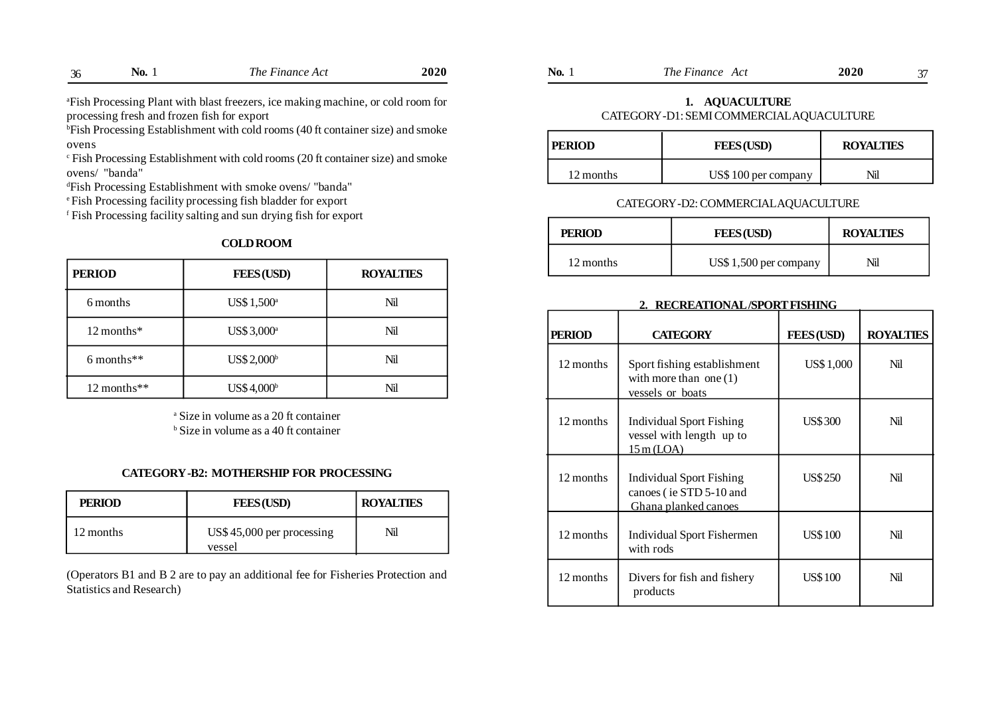<sup>a</sup>Fish Processing Plant with blast freezers, ice making machine, or cold room for processing fresh and frozen fish for export

bFish Processing Establishment with cold rooms (40 ft container size) and smoke ovens

c Fish Processing Establishment with cold rooms (20 ft container size) and smoke ovens/ "banda"

<sup>d</sup>Fish Processing Establishment with smoke ovens/ "banda"

<sup>e</sup>Fish Processing facility processing fish bladder for export

f Fish Processing facility salting and sun drying fish for export

#### **COLD ROOM**

| <b>PERIOD</b> | <b>FEES (USD)</b>       | <b>ROYALTIES</b> |
|---------------|-------------------------|------------------|
| 6 months      | US\$ 1,500 <sup>a</sup> | Nil              |
| 12 months*    | US\$ 3,000 <sup>a</sup> | Nil              |
| $6$ months**  | US\$ 2,000 <sup>b</sup> | Nil              |
| $12$ months** | US\$ 4,000 <sup>b</sup> | Nil              |

a Size in volume as a 20 ft container b Size in volume as a 40 ft container

#### **CATEGORY -B2: MOTHERSHIP FOR PROCESSING**

| <b>PERIOD</b> | <b>FEES (USD)</b>                   | <b>ROYALTIES</b> |
|---------------|-------------------------------------|------------------|
| 12 months     | US\$45,000 per processing<br>vessel | Nil              |

(Operators B1 and B 2 are to pay an additional fee for Fisheries Protection and Statistics and Research)

| 2020<br>-<br>$\sim$<br>Finance .<br>Finance<br>NO.<br>'NO.<br>AC<br>ı ne<br>AC'<br>1 ne | 2020 |  |
|-----------------------------------------------------------------------------------------|------|--|
|-----------------------------------------------------------------------------------------|------|--|

### **1. AQUACULTURE** CATEGORY -D1: SEMI COMMERCIAL AQUACULTURE

| <b>PERIOD</b> | <b>FEES (USD)</b>   | <b>ROYALTIES</b> |
|---------------|---------------------|------------------|
| 12 months     | US\$100 per company | Nil              |

## CATEGORY -D2: COMMERCIAL AQUACULTURE

| <b>PERIOD</b> | <b>FEES</b> (USD)     | <b>ROYALTIES</b> |
|---------------|-----------------------|------------------|
| 12 months     | US\$1,500 per company | Nil              |

#### **2. RECREATIONAL /SPORT FISHING**

| <b>PERIOD</b> | <b>CATEGORY</b>                                                             | <b>FEES (USD)</b> | <b>ROYALTIES</b> |
|---------------|-----------------------------------------------------------------------------|-------------------|------------------|
| 12 months     | Sport fishing establishment<br>with more than one $(1)$<br>vessels or boats | <b>US\$1,000</b>  | Nil              |
| 12 months     | Individual Sport Fishing<br>vessel with length up to<br>15m (LOA)           | <b>US\$300</b>    | Nil              |
| 12 months     | Individual Sport Fishing<br>canoes (ie STD 5-10 and<br>Ghana planked canoes | US\$250           | Nil              |
| 12 months     | Individual Sport Fishermen<br>with rods                                     | <b>US\$100</b>    | Nil              |
| 12 months     | Divers for fish and fishery<br>products                                     | <b>US\$100</b>    | Nil              |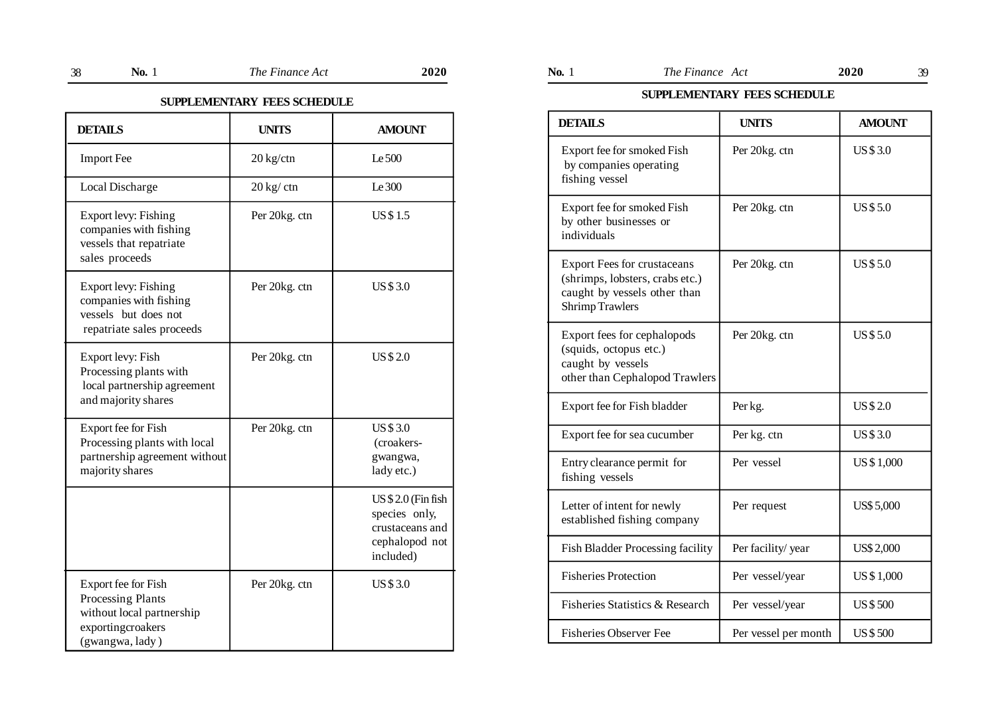# **SUPPLEMENTARY FEES SCHEDULE**

| <b>DETAILS</b>                                                                                                | <b>UNITS</b>                 | <b>AMOUNT</b>                                                                         |
|---------------------------------------------------------------------------------------------------------------|------------------------------|---------------------------------------------------------------------------------------|
| <b>Import Fee</b>                                                                                             | $20 \text{ kg}/\text{ctn}$   | Le 500                                                                                |
| Local Discharge                                                                                               | $20 \text{ kg} / \text{ctn}$ | Le 300                                                                                |
| Export levy: Fishing<br>companies with fishing<br>vessels that repatriate<br>sales proceeds                   | Per 20kg. ctn                | <b>US\$1.5</b>                                                                        |
| Export levy: Fishing<br>companies with fishing<br>vessels but does not<br>repatriate sales proceeds           | Per 20kg. ctn                | <b>US\$3.0</b>                                                                        |
| Export levy: Fish<br>Processing plants with<br>local partnership agreement<br>and majority shares             | Per 20kg. ctn                | <b>US\$2.0</b>                                                                        |
| Export fee for Fish<br>Processing plants with local<br>partnership agreement without<br>majority shares       | Per 20kg. ctn                | <b>US\$3.0</b><br>(croakers-<br>gwangwa,<br>lady etc.)                                |
|                                                                                                               |                              | US \$2.0 (Fin fish<br>species only,<br>crustaceans and<br>cephalopod not<br>included) |
| Export fee for Fish<br>Processing Plants<br>without local partnership<br>exportingcroakers<br>(gwangwa, lady) | Per 20kg. ctn                | <b>US\$3.0</b>                                                                        |

| $\sim$<br>M.<br>۰, |
|--------------------|
|--------------------|

**No.** 1 *The Finance Act* **2020 No.** 1 *The Finance Act* **2020** 38 39

# **SUPPLEMENTARY FEES SCHEDULE**

| <b>DETAILS</b>                                                                                                                  | <b>UNITS</b>         | <b>AMOUNT</b>     |
|---------------------------------------------------------------------------------------------------------------------------------|----------------------|-------------------|
| Export fee for smoked Fish<br>by companies operating<br>fishing vessel                                                          | Per 20kg. ctn        | <b>US\$3.0</b>    |
| Export fee for smoked Fish<br>by other businesses or<br>individuals                                                             | Per 20kg. ctn        | <b>US\$5.0</b>    |
| <b>Export Fees for crustaceans</b><br>(shrimps, lobsters, crabs etc.)<br>caught by vessels other than<br><b>Shrimp Trawlers</b> | Per 20kg. ctn        | <b>US\$5.0</b>    |
| Export fees for cephalopods<br>(squids, octopus etc.)<br>caught by vessels<br>other than Cephalopod Trawlers                    | Per 20kg. ctn        | <b>US\$5.0</b>    |
| Export fee for Fish bladder                                                                                                     | Per kg.              | <b>US\$2.0</b>    |
| Export fee for sea cucumber                                                                                                     | Per kg. ctn          | <b>US\$3.0</b>    |
| Entry clearance permit for<br>fishing vessels                                                                                   | Per vessel           | US \$1,000        |
| Letter of intent for newly<br>established fishing company                                                                       | Per request          | <b>US\$ 5,000</b> |
| Fish Bladder Processing facility                                                                                                | Per facility/ year   | <b>US\$2,000</b>  |
| <b>Fisheries Protection</b>                                                                                                     | Per vessel/year      | US \$1,000        |
| Fisheries Statistics & Research                                                                                                 | Per vessel/year      | <b>US\$500</b>    |
| <b>Fisheries Observer Fee</b>                                                                                                   | Per vessel per month | <b>US\$500</b>    |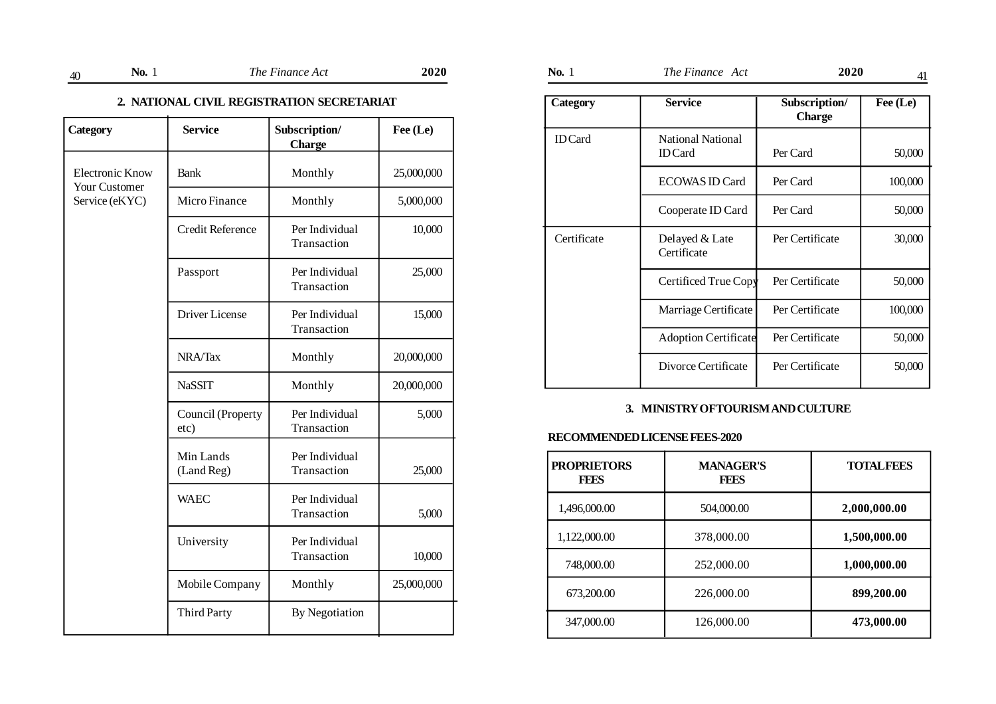# **2. NATIONAL CIVIL REGISTRATION SECRETARIAT**

| Category                                       | <b>Service</b>            | Subscription/<br><b>Charge</b> | Fee (Le)   |
|------------------------------------------------|---------------------------|--------------------------------|------------|
| <b>Electronic Know</b><br><b>Your Customer</b> | <b>Bank</b>               | Monthly                        | 25,000,000 |
| Service (eKYC)                                 | Micro Finance             | Monthly                        | 5,000,000  |
|                                                | Credit Reference          | Per Individual<br>Transaction  | 10,000     |
|                                                | Passport                  | Per Individual<br>Transaction  | 25,000     |
|                                                | Driver License            | Per Individual<br>Transaction  | 15,000     |
|                                                | NRA/Tax                   | Monthly                        | 20,000,000 |
|                                                | <b>NaSSIT</b>             | Monthly                        | 20,000,000 |
|                                                | Council (Property<br>etc) | Per Individual<br>Transaction  | 5,000      |
|                                                | Min Lands<br>(Land Reg)   | Per Individual<br>Transaction  | 25,000     |
|                                                | <b>WAEC</b>               | Per Individual<br>Transaction  | 5,000      |
|                                                | University                | Per Individual<br>Transaction  | 10,000     |
|                                                | Mobile Company            | Monthly                        | 25,000,000 |
|                                                | <b>Third Party</b>        | By Negotiation                 |            |

| $\sim$<br>. | NO. | $\alpha$ 12. $\alpha$ $\alpha$<br>1 ne<br>una<br>A | 202 | NO. | ---<br>'ne<br>$\Delta$<br>чиатс<br>٦C | - 7 |  |
|-------------|-----|----------------------------------------------------|-----|-----|---------------------------------------|-----|--|
|-------------|-----|----------------------------------------------------|-----|-----|---------------------------------------|-----|--|

| Category       | <b>Service</b>                             | Subscription/<br><b>Charge</b> | Fee (Le) |
|----------------|--------------------------------------------|--------------------------------|----------|
| <b>ID</b> Card | <b>National National</b><br><b>ID</b> Card | Per Card                       | 50,000   |
|                | <b>ECOWAS ID Card</b>                      | Per Card                       | 100,000  |
|                | Cooperate ID Card                          | Per Card                       | 50,000   |
| Certificate    | Delayed & Late<br>Certificate              | Per Certificate                | 30,000   |
|                | Certificed True Copy                       | Per Certificate                | 50,000   |
|                | Marriage Certificate                       | Per Certificate                | 100,000  |
|                | <b>Adoption Certificate</b>                | Per Certificate                | 50,000   |
|                | Divorce Certificate                        | Per Certificate                | 50,000   |

# **3. MINISTRY OF TOURISM AND CULTURE**

# **RECOMMENDED LICENSE FEES-2020**

| <b>PROPRIETORS</b><br><b>FEES</b> | <b>MANAGER'S</b><br><b>FEES</b> | <b>TOTAL FEES</b> |
|-----------------------------------|---------------------------------|-------------------|
| 1,496,000.00                      | 504,000.00                      | 2,000,000.00      |
| 1,122,000.00                      | 378,000.00                      | 1,500,000.00      |
| 748,000.00                        | 252,000.00                      | 1,000,000.00      |
| 673,200.00                        | 226,000.00                      | 899,200.00        |
| 347,000.00                        | 126,000.00                      | 473,000.00        |